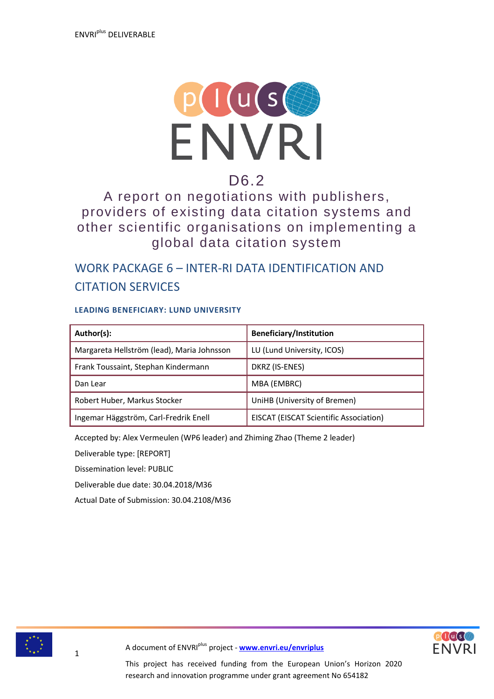

# D6.2

A report on negotiations with publishers, providers of existing data citation systems and other scientific organisations on implementing a global data citation system

# WORK PACKAGE 6 – INTER-RI DATA IDENTIFICATION AND CITATION SERVICES

#### **LEADING BENEFICIARY: LUND UNIVERSITY**

| Author(s):                                 | <b>Beneficiary/Institution</b>                |
|--------------------------------------------|-----------------------------------------------|
| Margareta Hellström (lead), Maria Johnsson | LU (Lund University, ICOS)                    |
| Frank Toussaint, Stephan Kindermann        | DKRZ (IS-ENES)                                |
| Dan Lear                                   | MBA (EMBRC)                                   |
| Robert Huber, Markus Stocker               | UniHB (University of Bremen)                  |
| Ingemar Häggström, Carl-Fredrik Enell      | <b>EISCAT (EISCAT Scientific Association)</b> |

Accepted by: Alex Vermeulen (WP6 leader) and Zhiming Zhao (Theme 2 leader)

Deliverable type: [REPORT]

Dissemination level: PUBLIC

Deliverable due date: 30.04.2018/M36

Actual Date of Submission: 30.04.2108/M36





A document of ENVRIplus project - **[www.envri.eu/envriplus](http://www.envri.eu/envriplus)**

This project has received funding from the European Union's Horizon 2020 research and innovation programme under grant agreement No 654182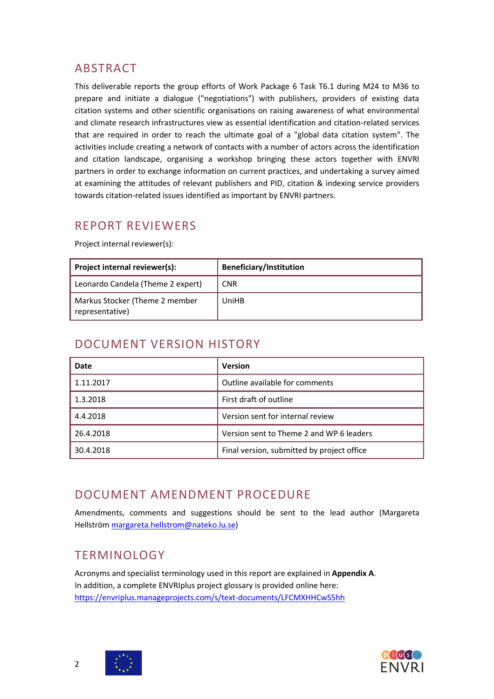## <span id="page-1-0"></span>ABSTRACT

This deliverable reports the group efforts of Work Package 6 Task T6.1 during M24 to M36 to prepare and initiate a dialogue ("negotiations") with publishers, providers of existing data citation systems and other scientific organisations on raising awareness of what environmental and climate research infrastructures view as essential identification and citation-related services that are required in order to reach the ultimate goal of a "global data citation system". The activities include creating a network of contacts with a number of actors across the identification and citation landscape, organising a workshop bringing these actors together with ENVRI partners in order to exchange information on current practices, and undertaking a survey aimed at examining the attitudes of relevant publishers and PID, citation & indexing service providers towards citation-related issues identified as important by ENVRI partners.

## <span id="page-1-1"></span>REPORT REVIEWERS

Project internal reviewer(s):

| Project internal reviewer(s):                     | <b>Beneficiary/Institution</b> |
|---------------------------------------------------|--------------------------------|
| Leonardo Candela (Theme 2 expert)                 | <b>CNR</b>                     |
| Markus Stocker (Theme 2 member<br>representative) | UniHB                          |

## <span id="page-1-2"></span>DOCUMENT VERSION HISTORY

| Date      | <b>Version</b>                             |
|-----------|--------------------------------------------|
| 1.11.2017 | Outline available for comments             |
| 1.3.2018  | First draft of outline                     |
| 4.4.2018  | Version sent for internal review           |
| 26.4.2018 | Version sent to Theme 2 and WP 6 leaders   |
| 30.4.2018 | Final version, submitted by project office |

## <span id="page-1-3"></span>DOCUMENT AMENDMENT PROCEDURE

Amendments, comments and suggestions should be sent to the lead author (Margareta Hellström [margareta.hellstrom@nateko.lu.se\)](mailto:margareta.hellstrom@nateko.lu.se)

## <span id="page-1-4"></span>**TERMINOLOGY**

Acronyms and specialist terminology used in this report are explained in **Appendix A**. In addition, a complete ENVRIplus project glossary is provided online here: <https://envriplus.manageprojects.com/s/text-documents/LFCMXHHCwS5hh>



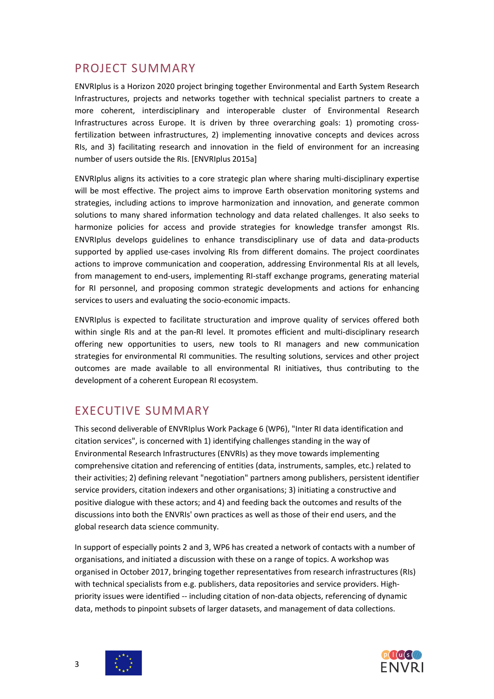## <span id="page-2-0"></span>PROJECT SUMMARY

ENVRIplus is a Horizon 2020 project bringing together Environmental and Earth System Research Infrastructures, projects and networks together with technical specialist partners to create a more coherent, interdisciplinary and interoperable cluster of Environmental Research Infrastructures across Europe. It is driven by three overarching goals: 1) promoting crossfertilization between infrastructures, 2) implementing innovative concepts and devices across RIs, and 3) facilitating research and innovation in the field of environment for an increasing number of users outside the RIs. [ENVRIplus 2015a]

ENVRIplus aligns its activities to a core strategic plan where sharing multi-disciplinary expertise will be most effective. The project aims to improve Earth observation monitoring systems and strategies, including actions to improve harmonization and innovation, and generate common solutions to many shared information technology and data related challenges. It also seeks to harmonize policies for access and provide strategies for knowledge transfer amongst RIs. ENVRIplus develops guidelines to enhance transdisciplinary use of data and data-products supported by applied use-cases involving RIs from different domains. The project coordinates actions to improve communication and cooperation, addressing Environmental RIs at all levels, from management to end-users, implementing RI-staff exchange programs, generating material for RI personnel, and proposing common strategic developments and actions for enhancing services to users and evaluating the socio-economic impacts.

ENVRIplus is expected to facilitate structuration and improve quality of services offered both within single RIs and at the pan-RI level. It promotes efficient and multi-disciplinary research offering new opportunities to users, new tools to RI managers and new communication strategies for environmental RI communities. The resulting solutions, services and other project outcomes are made available to all environmental RI initiatives, thus contributing to the development of a coherent European RI ecosystem.

## <span id="page-2-1"></span>EXECUTIVE SUMMARY

This second deliverable of ENVRIplus Work Package 6 (WP6), "Inter RI data identification and citation services", is concerned with 1) identifying challenges standing in the way of Environmental Research Infrastructures (ENVRIs) as they move towards implementing comprehensive citation and referencing of entities (data, instruments, samples, etc.) related to their activities; 2) defining relevant "negotiation" partners among publishers, persistent identifier service providers, citation indexers and other organisations; 3) initiating a constructive and positive dialogue with these actors; and 4) and feeding back the outcomes and results of the discussions into both the ENVRIs' own practices as well as those of their end users, and the global research data science community.

In support of especially points 2 and 3, WP6 has created a network of contacts with a number of organisations, and initiated a discussion with these on a range of topics. A workshop was organised in October 2017, bringing together representatives from research infrastructures (RIs) with technical specialists from e.g. publishers, data repositories and service providers. Highpriority issues were identified -- including citation of non-data objects, referencing of dynamic data, methods to pinpoint subsets of larger datasets, and management of data collections.



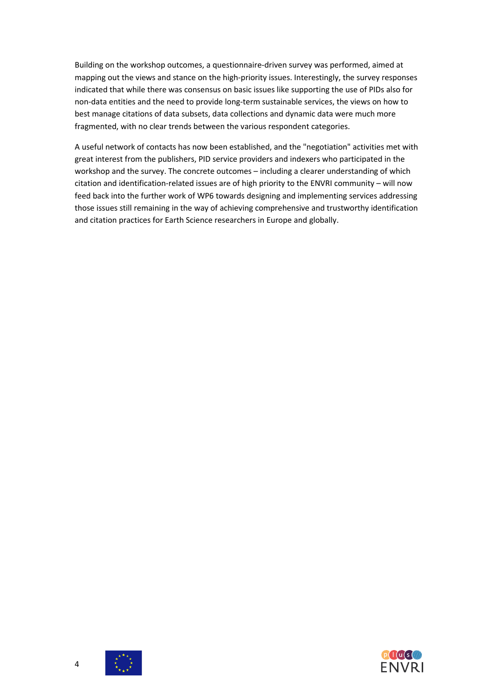Building on the workshop outcomes, a questionnaire-driven survey was performed, aimed at mapping out the views and stance on the high-priority issues. Interestingly, the survey responses indicated that while there was consensus on basic issues like supporting the use of PIDs also for non-data entities and the need to provide long-term sustainable services, the views on how to best manage citations of data subsets, data collections and dynamic data were much more fragmented, with no clear trends between the various respondent categories.

A useful network of contacts has now been established, and the "negotiation" activities met with great interest from the publishers, PID service providers and indexers who participated in the workshop and the survey. The concrete outcomes – including a clearer understanding of which citation and identification-related issues are of high priority to the ENVRI community – will now feed back into the further work of WP6 towards designing and implementing services addressing those issues still remaining in the way of achieving comprehensive and trustworthy identification and citation practices for Earth Science researchers in Europe and globally.



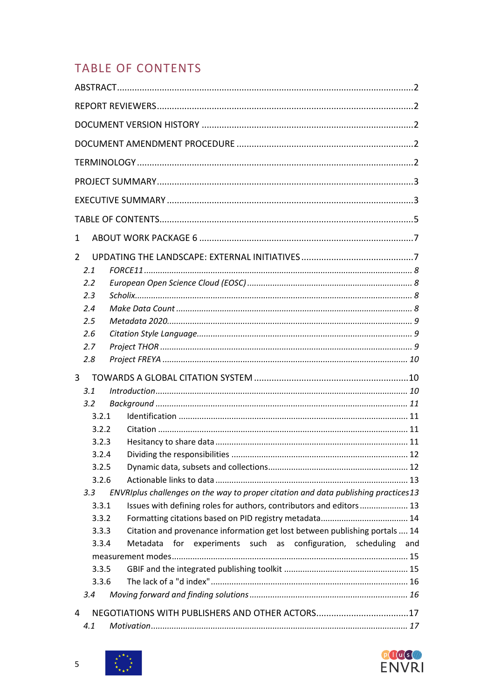# <span id="page-4-0"></span>**TABLE OF CONTENTS**

| 1     |                                                                                    |
|-------|------------------------------------------------------------------------------------|
| 2     |                                                                                    |
| 2.1   |                                                                                    |
| 2.2   |                                                                                    |
| 2.3   |                                                                                    |
| 2.4   |                                                                                    |
| 2.5   |                                                                                    |
| 2.6   |                                                                                    |
| 2.7   |                                                                                    |
| 2.8   |                                                                                    |
| 3     |                                                                                    |
| 3.1   |                                                                                    |
| 3.2   |                                                                                    |
| 3.2.1 |                                                                                    |
| 3.2.2 |                                                                                    |
| 3.2.3 |                                                                                    |
| 3.2.4 |                                                                                    |
| 3.2.5 |                                                                                    |
| 3.2.6 |                                                                                    |
| 3.3   | ENVRIplus challenges on the way to proper citation and data publishing practices13 |
| 3.3.1 | Issues with defining roles for authors, contributors and editors 13                |
| 3.3.2 |                                                                                    |
| 3.3.3 | Citation and provenance information get lost between publishing portals  14        |
| 3.3.4 | for experiments such as configuration, scheduling<br>Metadata<br>and               |
|       |                                                                                    |
| 3.3.5 |                                                                                    |
| 3.3.6 |                                                                                    |
| 3.4   |                                                                                    |
| 4     |                                                                                    |
| 4.1   |                                                                                    |

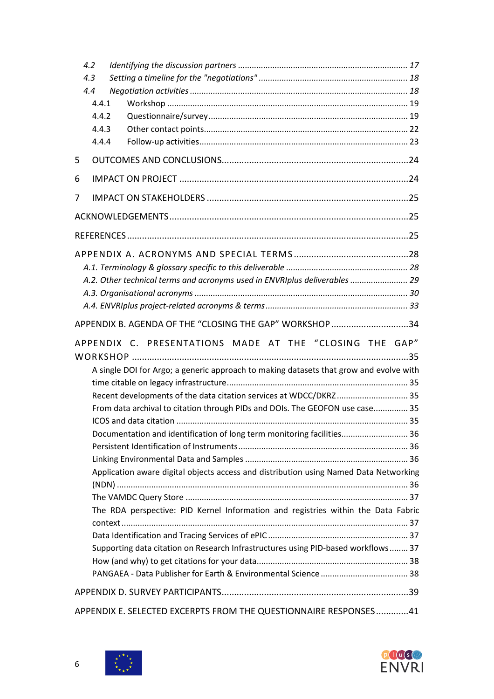| 4.2 |       |                                                                                        |  |  |  |  |
|-----|-------|----------------------------------------------------------------------------------------|--|--|--|--|
| 4.3 |       |                                                                                        |  |  |  |  |
| 4.4 |       |                                                                                        |  |  |  |  |
|     | 4.4.1 |                                                                                        |  |  |  |  |
|     | 4.4.2 |                                                                                        |  |  |  |  |
|     | 4.4.3 |                                                                                        |  |  |  |  |
|     | 4.4.4 |                                                                                        |  |  |  |  |
| 5   |       |                                                                                        |  |  |  |  |
| 6   |       |                                                                                        |  |  |  |  |
| 7   |       |                                                                                        |  |  |  |  |
|     |       |                                                                                        |  |  |  |  |
|     |       |                                                                                        |  |  |  |  |
|     |       |                                                                                        |  |  |  |  |
|     |       |                                                                                        |  |  |  |  |
|     |       | A.2. Other technical terms and acronyms used in ENVRIplus deliverables  29             |  |  |  |  |
|     |       |                                                                                        |  |  |  |  |
|     |       |                                                                                        |  |  |  |  |
|     |       | APPENDIX B. AGENDA OF THE "CLOSING THE GAP" WORKSHOP 34                                |  |  |  |  |
|     |       | APPENDIX C. PRESENTATIONS MADE AT THE "CLOSING THE GAP"                                |  |  |  |  |
|     |       |                                                                                        |  |  |  |  |
|     |       | A single DOI for Argo; a generic approach to making datasets that grow and evolve with |  |  |  |  |
|     |       |                                                                                        |  |  |  |  |
|     |       | Recent developments of the data citation services at WDCC/DKRZ 35                      |  |  |  |  |
|     |       | From data archival to citation through PIDs and DOIs. The GEOFON use case 35           |  |  |  |  |
|     |       |                                                                                        |  |  |  |  |
|     |       | Documentation and identification of long term monitoring facilities 36                 |  |  |  |  |
|     |       |                                                                                        |  |  |  |  |
|     |       | Application aware digital objects access and distribution using Named Data Networking  |  |  |  |  |
|     |       |                                                                                        |  |  |  |  |
|     |       |                                                                                        |  |  |  |  |
|     |       | The RDA perspective: PID Kernel Information and registries within the Data Fabric      |  |  |  |  |
|     |       |                                                                                        |  |  |  |  |
|     |       |                                                                                        |  |  |  |  |
|     |       | Supporting data citation on Research Infrastructures using PID-based workflows 37      |  |  |  |  |
|     |       |                                                                                        |  |  |  |  |
|     |       |                                                                                        |  |  |  |  |
|     |       |                                                                                        |  |  |  |  |
|     |       | APPENDIX E. SELECTED EXCERPTS FROM THE QUESTIONNAIRE RESPONSES41                       |  |  |  |  |

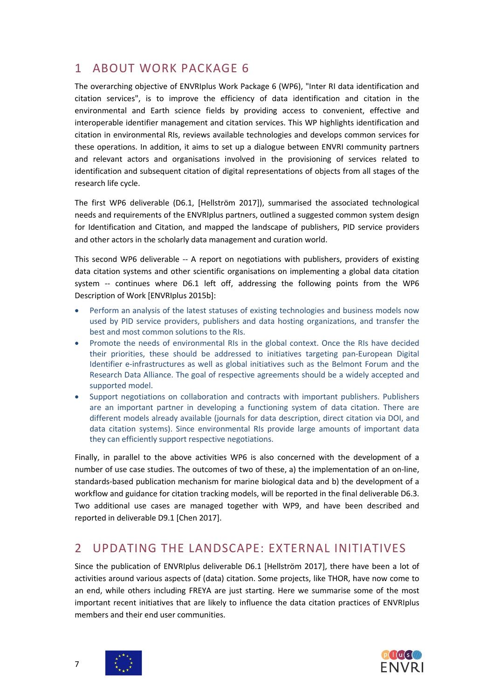## <span id="page-6-0"></span>1 ABOUT WORK PACKAGE 6

The overarching objective of ENVRIplus Work Package 6 (WP6), "Inter RI data identification and citation services", is to improve the efficiency of data identification and citation in the environmental and Earth science fields by providing access to convenient, effective and interoperable identifier management and citation services. This WP highlights identification and citation in environmental RIs, reviews available technologies and develops common services for these operations. In addition, it aims to set up a dialogue between ENVRI community partners and relevant actors and organisations involved in the provisioning of services related to identification and subsequent citation of digital representations of objects from all stages of the research life cycle.

The first WP6 deliverable (D6.1, [Hellström 2017]), summarised the associated technological needs and requirements of the ENVRIplus partners, outlined a suggested common system design for Identification and Citation, and mapped the landscape of publishers, PID service providers and other actors in the scholarly data management and curation world.

This second WP6 deliverable -- A report on negotiations with publishers, providers of existing data citation systems and other scientific organisations on implementing a global data citation system -- continues where D6.1 left off, addressing the following points from the WP6 Description of Work [ENVRIplus 2015b]:

- Perform an analysis of the latest statuses of existing technologies and business models now used by PID service providers, publishers and data hosting organizations, and transfer the best and most common solutions to the RIs.
- Promote the needs of environmental RIs in the global context. Once the RIs have decided their priorities, these should be addressed to initiatives targeting pan-European Digital Identifier e-infrastructures as well as global initiatives such as the Belmont Forum and the Research Data Alliance. The goal of respective agreements should be a widely accepted and supported model.
- Support negotiations on collaboration and contracts with important publishers. Publishers are an important partner in developing a functioning system of data citation. There are different models already available (journals for data description, direct citation via DOI, and data citation systems). Since environmental RIs provide large amounts of important data they can efficiently support respective negotiations.

Finally, in parallel to the above activities WP6 is also concerned with the development of a number of use case studies. The outcomes of two of these, a) the implementation of an on-line, standards-based publication mechanism for marine biological data and b) the development of a workflow and guidance for citation tracking models, will be reported in the final deliverable D6.3. Two additional use cases are managed together with WP9, and have been described and reported in deliverable D9.1 [Chen 2017].

## <span id="page-6-1"></span>2 UPDATING THE LANDSCAPE: EXTERNAL INITIATIVES

Since the publication of ENVRIplus deliverable D6.1 [Hellström 2017], there have been a lot of activities around various aspects of (data) citation. Some projects, like THOR, have now come to an end, while others including FREYA are just starting. Here we summarise some of the most important recent initiatives that are likely to influence the data citation practices of ENVRIplus members and their end user communities.



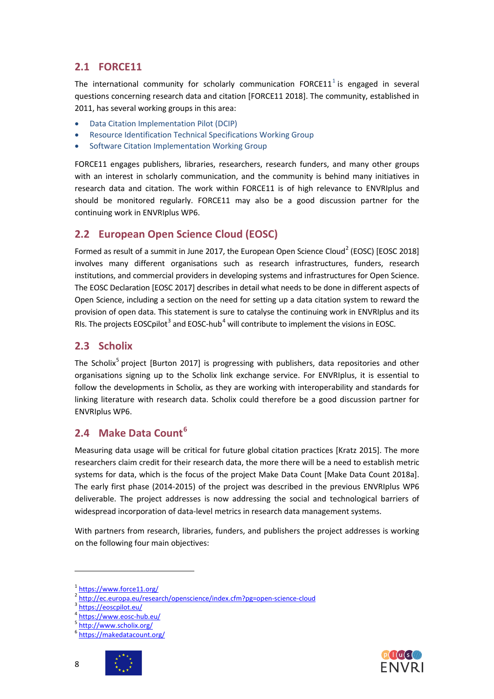## <span id="page-7-0"></span>**2.1 FORCE11**

The international community for scholarly communication FORCE[1](#page-7-4)1<sup>1</sup> is engaged in several questions concerning research data and citation [FORCE11 2018]. The community, established in 2011, has several working groups in this area:

- Data Citation Implementation Pilot (DCIP)
- Resource Identification Technical Specifications Working Group
- Software Citation Implementation Working Group

FORCE11 engages publishers, libraries, researchers, research funders, and many other groups with an interest in scholarly communication, and the community is behind many initiatives in research data and citation. The work within FORCE11 is of high relevance to ENVRIplus and should be monitored regularly. FORCE11 may also be a good discussion partner for the continuing work in ENVRIplus WP6.

## <span id="page-7-1"></span>**2.2 European Open Science Cloud (EOSC)**

Formed as result of a summit in June [2](#page-7-5)017, the European Open Science Cloud<sup>2</sup> (EOSC) [EOSC 2018] involves many different organisations such as research infrastructures, funders, research institutions, and commercial providers in developing systems and infrastructures for Open Science. The EOSC Declaration [EOSC 2017] describes in detail what needs to be done in different aspects of Open Science, including a section on the need for setting up a data citation system to reward the provision of open data. This statement is sure to catalyse the continuing work in ENVRIplus and its RIs. The projects EOSCpilot<sup>[3](#page-7-6)</sup> and EOSC-hub<sup>[4](#page-7-7)</sup> will contribute to implement the visions in EOSC.

## <span id="page-7-2"></span>**2.3 Scholix**

The Scholix<sup>[5](#page-7-8)</sup> project [Burton 2017] is progressing with publishers, data repositories and other organisations signing up to the Scholix link exchange service. For ENVRIplus, it is essential to follow the developments in Scholix, as they are working with interoperability and standards for linking literature with research data. Scholix could therefore be a good discussion partner for ENVRIplus WP6.

## <span id="page-7-3"></span>**2.4 Make Data Count[6](#page-7-9)**

Measuring data usage will be critical for future global citation practices [Kratz 2015]. The more researchers claim credit for their research data, the more there will be a need to establish metric systems for data, which is the focus of the project Make Data Count [Make Data Count 2018a]. The early first phase (2014-2015) of the project was described in the previous ENVRIplus WP6 deliverable. The project addresses is now addressing the social and technological barriers of widespread incorporation of data-level metrics in research data management systems.

With partners from research, libraries, funders, and publishers the project addresses is working on the following four main objectives:

<span id="page-7-9"></span><span id="page-7-8"></span><sup>6</sup> <https://makedatacount.org/>





<sup>1</sup> <https://www.force11.org/>

<span id="page-7-6"></span><span id="page-7-5"></span><span id="page-7-4"></span><sup>&</sup>lt;sup>2</sup> <http://ec.europa.eu/research/openscience/index.cfm?pg=open-science-cloud> 3<br>3 <https://eoscpilot.eu/>

<span id="page-7-7"></span><sup>&</sup>lt;sup>4</sup> <u><https://www.eosc-hub.eu/></u><br><sup>5</sup> <http://www.scholix.org/>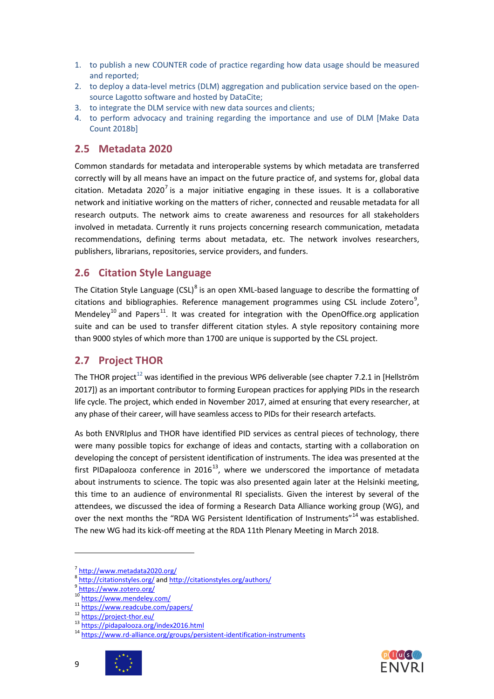- 1. to publish a new COUNTER code of practice regarding how data usage should be measured and reported;
- 2. to deploy a data-level metrics (DLM) aggregation and publication service based on the opensource Lagotto software and hosted by DataCite;
- 3. to integrate the DLM service with new data sources and clients;
- 4. to perform advocacy and training regarding the importance and use of DLM [Make Data Count 2018b]

### <span id="page-8-0"></span>**2.5 Metadata 2020**

Common standards for metadata and interoperable systems by which metadata are transferred correctly will by all means have an impact on the future practice of, and systems for, global data citation. Metadata 2020<sup>[7](#page-8-3)</sup> is a major initiative engaging in these issues. It is a collaborative network and initiative working on the matters of richer, connected and reusable metadata for all research outputs. The network aims to create awareness and resources for all stakeholders involved in metadata. Currently it runs projects concerning research communication, metadata recommendations, defining terms about metadata, etc. The network involves researchers, publishers, librarians, repositories, service providers, and funders.

## <span id="page-8-1"></span>**2.6 Citation Style Language**

The Citation Style Language  $(CSL)^8$  $(CSL)^8$  is an open XML-based language to describe the formatting of citations and bibliographies. Reference management programmes using CSL include Zotero $^9$  $^9$ , Mendeley<sup>[10](#page-8-6)</sup> and Papers<sup>11</sup>. It was created for integration with the OpenOffice.org application suite and can be used to transfer different citation styles. A style repository containing more than 9000 styles of which more than 1700 are unique is supported by the CSL project.

### <span id="page-8-2"></span>**2.7 Project THOR**

The THOR project<sup>[12](#page-8-8)</sup> was identified in the previous WP6 deliverable (see chapter 7.2.1 in [Hellström 2017]) as an important contributor to forming European practices for applying PIDs in the research life cycle. The project, which ended in November 2017, aimed at ensuring that every researcher, at any phase of their career, will have seamless access to PIDs for their research artefacts.

As both ENVRIplus and THOR have identified PID services as central pieces of technology, there were many possible topics for exchange of ideas and contacts, starting with a collaboration on developing the concept of persistent identification of instruments. The idea was presented at the first PIDapalooza conference in 2016<sup>13</sup>, where we underscored the importance of metadata about instruments to science. The topic was also presented again later at the Helsinki meeting, this time to an audience of environmental RI specialists. Given the interest by several of the attendees, we discussed the idea of forming a Research Data Alliance working group (WG), and over the next months the "RDA WG Persistent Identification of Instruments"<sup>[14](#page-8-10)</sup> was established. The new WG had its kick-off meeting at the RDA 11th Plenary Meeting in March 2018.

<span id="page-8-7"></span><span id="page-8-6"></span><span id="page-8-5"></span><sup>&</sup>lt;sup>10</sup> <https://www.mendeley.com/><br>
<sup>11</sup> <https://www.readcube.com/papers/><br>
<sup>12</sup> <https://project-thor.eu/><br>
<sup>14</sup> <https://www.rd-alliance.org/groups/persistent-identification-instruments>



<span id="page-8-4"></span><span id="page-8-3"></span><sup>7</sup> <http://www.metadata2020.org/><br>8 <http://citationstyles.org/> and<http://citationstyles.org/authors/><br>9 <https://www.zotero.org/><br>https://www.zotero.org/

<span id="page-8-10"></span><span id="page-8-9"></span><span id="page-8-8"></span>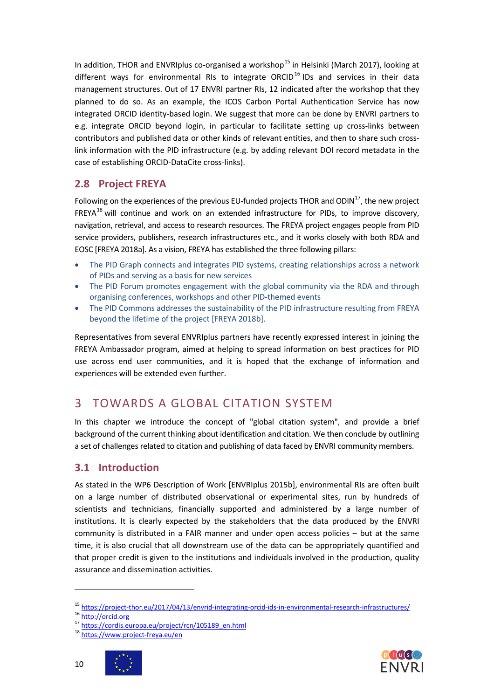In addition, THOR and ENVRIplus co-organised a workshop<sup>[15](#page-9-3)</sup> in Helsinki (March 2017), looking at different ways for environmental RIs to integrate ORCID<sup>[16](#page-9-4)</sup> IDs and services in their data management structures. Out of 17 ENVRI partner RIs, 12 indicated after the workshop that they planned to do so. As an example, the ICOS Carbon Portal Authentication Service has now integrated ORCID identity-based login. We suggest that more can be done by ENVRI partners to e.g. integrate ORCID beyond login, in particular to facilitate setting up cross-links between contributors and published data or other kinds of relevant entities, and then to share such crosslink information with the PID infrastructure (e.g. by adding relevant DOI record metadata in the case of establishing ORCID-DataCite cross-links).

## <span id="page-9-0"></span>**2.8 Project FREYA**

Following on the experiences of the previous EU-funded projects THOR and ODIN $^{17}$  $^{17}$  $^{17}$ , the new project FREYA<sup>[18](#page-9-6)</sup> will continue and work on an extended infrastructure for PIDs, to improve discovery, navigation, retrieval, and access to research resources. The FREYA project engages people from PID service providers, publishers, research infrastructures etc., and it works closely with both RDA and EOSC [FREYA 2018a]. As a vision, FREYA has established the three following pillars:

- The PID Graph connects and integrates PID systems, creating relationships across a network of PIDs and serving as a basis for new services
- The PID Forum promotes engagement with the global community via the RDA and through organising conferences, workshops and other PID-themed events
- The PID Commons addresses the sustainability of the PID infrastructure resulting from FREYA beyond the lifetime of the project [FREYA 2018b].

Representatives from several ENVRIplus partners have recently expressed interest in joining the FREYA Ambassador program, aimed at helping to spread information on best practices for PID use across end user communities, and it is hoped that the exchange of information and experiences will be extended even further.

## <span id="page-9-1"></span>3 TOWARDS A GLOBAL CITATION SYSTEM

In this chapter we introduce the concept of "global citation system", and provide a brief background of the current thinking about identification and citation. We then conclude by outlining a set of challenges related to citation and publishing of data faced by ENVRI community members.

## <span id="page-9-2"></span>**3.1 Introduction**

As stated in the WP6 Description of Work [ENVRIplus 2015b], environmental RIs are often built on a large number of distributed observational or experimental sites, run by hundreds of scientists and technicians, financially supported and administered by a large number of institutions. It is clearly expected by the stakeholders that the data produced by the ENVRI community is distributed in a FAIR manner and under open access policies – but at the same time, it is also crucial that all downstream use of the data can be appropriately quantified and that proper credit is given to the institutions and individuals involved in the production, quality assurance and dissemination activities.





<span id="page-9-4"></span><span id="page-9-3"></span><sup>15</sup> <https://project-thor.eu/2017/04/13/envrid-integrating-orcid-ids-in-environmental-research-infrastructures/><br>
16 [http://orcid.org](http://orcid.org/)<br>
17 [https://cordis.europa.eu/project/rcn/105189\\_en.html](https://cordis.europa.eu/project/rcn/105189_en.html)<br>
18 <https://www.project-freya.eu/en>

<span id="page-9-6"></span><span id="page-9-5"></span>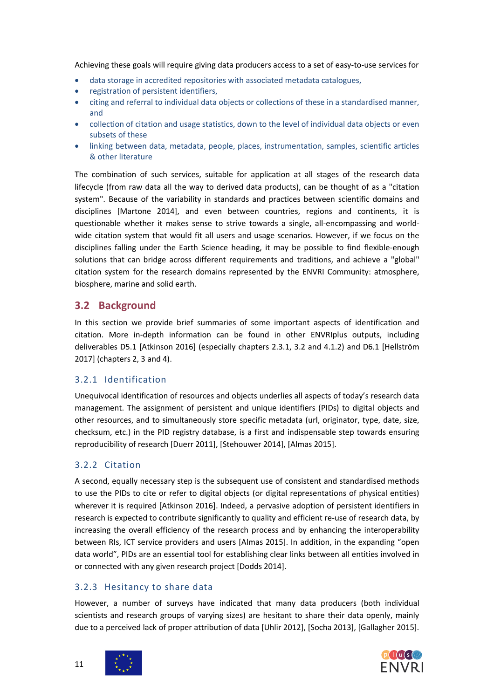Achieving these goals will require giving data producers access to a set of easy-to-use services for

- data storage in accredited repositories with associated metadata catalogues,
- registration of persistent identifiers,
- citing and referral to individual data objects or collections of these in a standardised manner, and
- collection of citation and usage statistics, down to the level of individual data objects or even subsets of these
- linking between data, metadata, people, places, instrumentation, samples, scientific articles & other literature

The combination of such services, suitable for application at all stages of the research data lifecycle (from raw data all the way to derived data products), can be thought of as a "citation system". Because of the variability in standards and practices between scientific domains and disciplines [Martone 2014], and even between countries, regions and continents, it is questionable whether it makes sense to strive towards a single, all-encompassing and worldwide citation system that would fit all users and usage scenarios. However, if we focus on the disciplines falling under the Earth Science heading, it may be possible to find flexible-enough solutions that can bridge across different requirements and traditions, and achieve a "global" citation system for the research domains represented by the ENVRI Community: atmosphere, biosphere, marine and solid earth.

## <span id="page-10-0"></span>**3.2 Background**

In this section we provide brief summaries of some important aspects of identification and citation. More in-depth information can be found in other ENVRIplus outputs, including deliverables D5.1 [Atkinson 2016] (especially chapters 2.3.1, 3.2 and 4.1.2) and D6.1 [Hellström 2017] (chapters 2, 3 and 4).

## <span id="page-10-1"></span>3.2.1 Identification

Unequivocal identification of resources and objects underlies all aspects of today's research data management. The assignment of persistent and unique identifiers (PIDs) to digital objects and other resources, and to simultaneously store specific metadata (url, originator, type, date, size, checksum, etc.) in the PID registry database, is a first and indispensable step towards ensuring reproducibility of research [Duerr 2011], [Stehouwer 2014], [Almas 2015].

## <span id="page-10-2"></span>3.2.2 Citation

A second, equally necessary step is the subsequent use of consistent and standardised methods to use the PIDs to cite or refer to digital objects (or digital representations of physical entities) wherever it is required [Atkinson 2016]. Indeed, a pervasive adoption of persistent identifiers in research is expected to contribute significantly to quality and efficient re-use of research data, by increasing the overall efficiency of the research process and by enhancing the interoperability between RIs, ICT service providers and users [Almas 2015]. In addition, in the expanding "open data world", PIDs are an essential tool for establishing clear links between all entities involved in or connected with any given research project [Dodds 2014].

## <span id="page-10-3"></span>3.2.3 Hesitancy to share data

However, a number of surveys have indicated that many data producers (both individual scientists and research groups of varying sizes) are hesitant to share their data openly, mainly due to a perceived lack of proper attribution of data [Uhlir 2012], [Socha 2013], [Gallagher 2015].



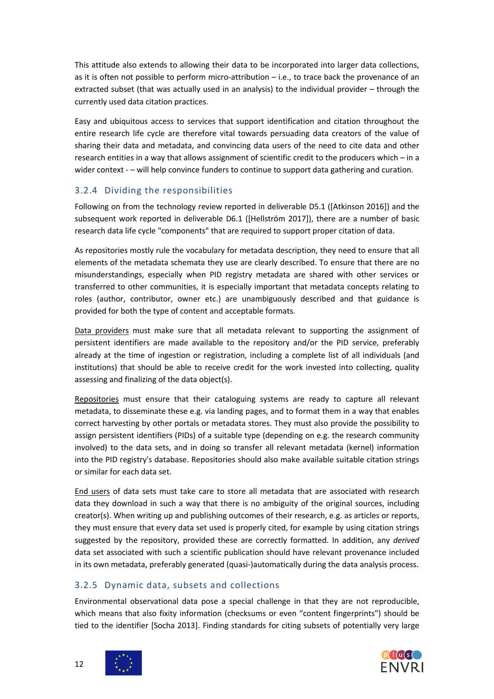This attitude also extends to allowing their data to be incorporated into larger data collections, as it is often not possible to perform micro-attribution – i.e., to trace back the provenance of an extracted subset (that was actually used in an analysis) to the individual provider – through the currently used data citation practices.

Easy and ubiquitous access to services that support identification and citation throughout the entire research life cycle are therefore vital towards persuading data creators of the value of sharing their data and metadata, and convincing data users of the need to cite data and other research entities in a way that allows assignment of scientific credit to the producers which – in a wider context - – will help convince funders to continue to support data gathering and curation.

### <span id="page-11-0"></span>3.2.4 Dividing the responsibilities

Following on from the technology review reported in deliverable D5.1 ([Atkinson 2016]) and the subsequent work reported in deliverable D6.1 ([Hellström 2017]), there are a number of basic research data life cycle "components" that are required to support proper citation of data.

As repositories mostly rule the vocabulary for metadata description, they need to ensure that all elements of the metadata schemata they use are clearly described. To ensure that there are no misunderstandings, especially when PID registry metadata are shared with other services or transferred to other communities, it is especially important that metadata concepts relating to roles (author, contributor, owner etc.) are unambiguously described and that guidance is provided for both the type of content and acceptable formats.

Data providers must make sure that all metadata relevant to supporting the assignment of persistent identifiers are made available to the repository and/or the PID service, preferably already at the time of ingestion or registration, including a complete list of all individuals (and institutions) that should be able to receive credit for the work invested into collecting, quality assessing and finalizing of the data object(s).

Repositories must ensure that their cataloguing systems are ready to capture all relevant metadata, to disseminate these e.g. via landing pages, and to format them in a way that enables correct harvesting by other portals or metadata stores. They must also provide the possibility to assign persistent identifiers (PIDs) of a suitable type (depending on e.g. the research community involved) to the data sets, and in doing so transfer all relevant metadata (kernel) information into the PID registry's database. Repositories should also make available suitable citation strings or similar for each data set.

End users of data sets must take care to store all metadata that are associated with research data they download in such a way that there is no ambiguity of the original sources, including creator(s). When writing up and publishing outcomes of their research, e.g. as articles or reports, they must ensure that every data set used is properly cited, for example by using citation strings suggested by the repository, provided these are correctly formatted. In addition, any *derived* data set associated with such a scientific publication should have relevant provenance included in its own metadata, preferably generated (quasi-)automatically during the data analysis process.

## <span id="page-11-1"></span>3.2.5 Dynamic data, subsets and collections

Environmental observational data pose a special challenge in that they are not reproducible, which means that also fixity information (checksums or even "content fingerprints") should be tied to the identifier [Socha 2013]. Finding standards for citing subsets of potentially very large





12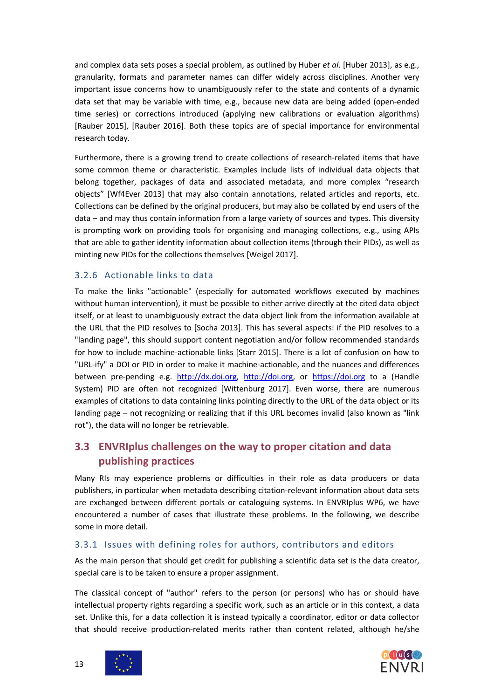and complex data sets poses a special problem, as outlined by Huber *et al*. [Huber 2013], as e.g., granularity, formats and parameter names can differ widely across disciplines. Another very important issue concerns how to unambiguously refer to the state and contents of a dynamic data set that may be variable with time, e.g., because new data are being added (open-ended time series) or corrections introduced (applying new calibrations or evaluation algorithms) [Rauber 2015], [Rauber 2016]. Both these topics are of special importance for environmental research today.

Furthermore, there is a growing trend to create collections of research-related items that have some common theme or characteristic. Examples include lists of individual data objects that belong together, packages of data and associated metadata, and more complex "research objects" [Wf4Ever 2013] that may also contain annotations, related articles and reports, etc. Collections can be defined by the original producers, but may also be collated by end users of the data – and may thus contain information from a large variety of sources and types. This diversity is prompting work on providing tools for organising and managing collections, e.g., using APIs that are able to gather identity information about collection items (through their PIDs), as well as minting new PIDs for the collections themselves [Weigel 2017].

### <span id="page-12-0"></span>3.2.6 Actionable links to data

To make the links "actionable" (especially for automated workflows executed by machines without human intervention), it must be possible to either arrive directly at the cited data object itself, or at least to unambiguously extract the data object link from the information available at the URL that the PID resolves to [Socha 2013]. This has several aspects: if the PID resolves to a "landing page", this should support content negotiation and/or follow recommended standards for how to include machine-actionable links [Starr 2015]. There is a lot of confusion on how to "URL-ify" a DOI or PID in order to make it machine-actionable, and the nuances and differences between pre-pending e.g. [http://dx.doi.org,](http://dx.doi.org/) [http://doi.org,](http://doi.org/) or [https://doi.org](https://doi.org/) to a (Handle System) PID are often not recognized [Wittenburg 2017]. Even worse, there are numerous examples of citations to data containing links pointing directly to the URL of the data object or its landing page – not recognizing or realizing that if this URL becomes invalid (also known as "link rot"), the data will no longer be retrievable.

## <span id="page-12-1"></span>**3.3 ENVRIplus challenges on the way to proper citation and data publishing practices**

Many RIs may experience problems or difficulties in their role as data producers or data publishers, in particular when metadata describing citation-relevant information about data sets are exchanged between different portals or cataloguing systems. In ENVRIplus WP6, we have encountered a number of cases that illustrate these problems. In the following, we describe some in more detail.

### <span id="page-12-2"></span>3.3.1 Issues with defining roles for authors, contributors and editors

As the main person that should get credit for publishing a scientific data set is the data creator, special care is to be taken to ensure a proper assignment.

The classical concept of "author" refers to the person (or persons) who has or should have intellectual property rights regarding a specific work, such as an article or in this context, a data set. Unlike this, for a data collection it is instead typically a coordinator, editor or data collector that should receive production-related merits rather than content related, although he/she



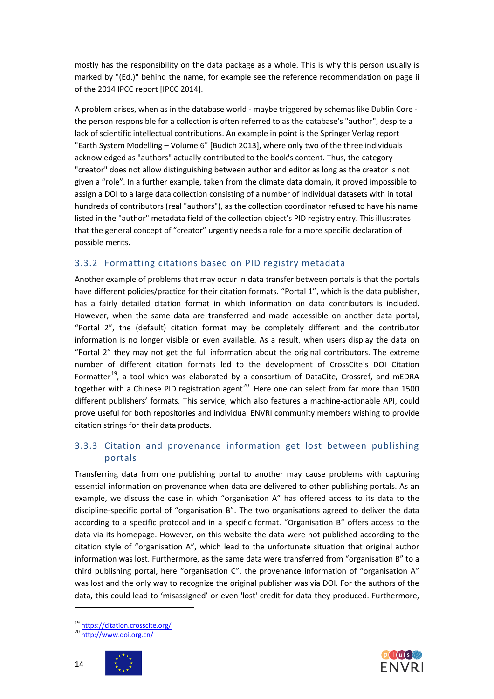mostly has the responsibility on the data package as a whole. This is why this person usually is marked by "(Ed.)" behind the name, for example see the reference recommendation on page ii of the 2014 IPCC report [IPCC 2014].

A problem arises, when as in the database world - maybe triggered by schemas like Dublin Core the person responsible for a collection is often referred to as the database's "author", despite a lack of scientific intellectual contributions. An example in point is the Springer Verlag report "Earth System Modelling – Volume 6" [Budich 2013], where only two of the three individuals acknowledged as "authors" actually contributed to the book's content. Thus, the category "creator" does not allow distinguishing between author and editor as long as the creator is not given a "role". In a further example, taken from the climate data domain, it proved impossible to assign a DOI to a large data collection consisting of a number of individual datasets with in total hundreds of contributors (real "authors"), as the collection coordinator refused to have his name listed in the "author" metadata field of the collection object's PID registry entry. This illustrates that the general concept of "creator" urgently needs a role for a more specific declaration of possible merits.

#### <span id="page-13-0"></span>3.3.2 Formatting citations based on PID registry metadata

Another example of problems that may occur in data transfer between portals is that the portals have different policies/practice for their citation formats. "Portal 1", which is the data publisher, has a fairly detailed citation format in which information on data contributors is included. However, when the same data are transferred and made accessible on another data portal, "Portal 2", the (default) citation format may be completely different and the contributor information is no longer visible or even available. As a result, when users display the data on "Portal 2" they may not get the full information about the original contributors. The extreme number of different citation formats led to the development of CrossCite's DOI Citation Formatter<sup>19</sup>, a tool which was elaborated by a consortium of DataCite, Crossref, and mEDRA together with a Chinese PID registration agent<sup>20</sup>. Here one can select from far more than 1500 different publishers' formats. This service, which also features a machine-actionable API, could prove useful for both repositories and individual ENVRI community members wishing to provide citation strings for their data products.

### <span id="page-13-1"></span>3.3.3 Citation and provenance information get lost between publishing portals

Transferring data from one publishing portal to another may cause problems with capturing essential information on provenance when data are delivered to other publishing portals. As an example, we discuss the case in which "organisation A" has offered access to its data to the discipline-specific portal of "organisation B". The two organisations agreed to deliver the data according to a specific protocol and in a specific format. "Organisation B" offers access to the data via its homepage. However, on this website the data were not published according to the citation style of "organisation A", which lead to the unfortunate situation that original author information was lost. Furthermore, as the same data were transferred from "organisation B" to a third publishing portal, here "organisation C", the provenance information of "organisation A" was lost and the only way to recognize the original publisher was via DOI. For the authors of the data, this could lead to 'misassigned' or even 'lost' credit for data they produced. Furthermore,





<span id="page-13-3"></span><span id="page-13-2"></span><sup>&</sup>lt;sup>19</sup> <https://citation.crosscite.org/><br><sup>20</sup> <http://www.doi.org.cn/>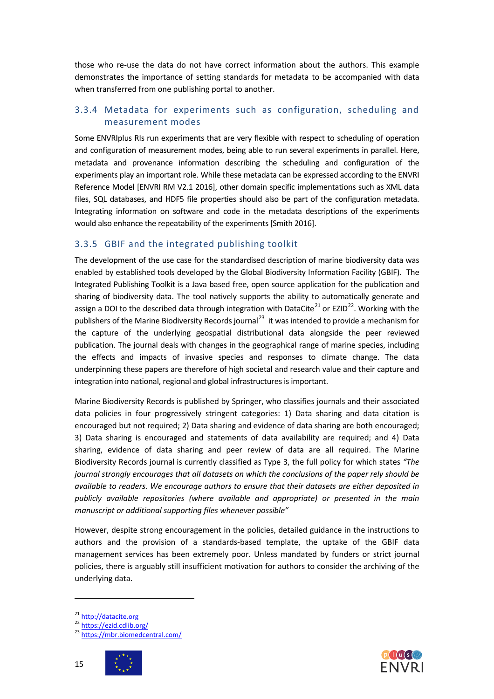those who re-use the data do not have correct information about the authors. This example demonstrates the importance of setting standards for metadata to be accompanied with data when transferred from one publishing portal to another.

### <span id="page-14-0"></span>3.3.4 Metadata for experiments such as configuration, scheduling and measurement modes

Some ENVRIplus RIs run experiments that are very flexible with respect to scheduling of operation and configuration of measurement modes, being able to run several experiments in parallel. Here, metadata and provenance information describing the scheduling and configuration of the experiments play an important role. While these metadata can be expressed according to the ENVRI Reference Model [ENVRI RM V2.1 2016], other domain specific implementations such as XML data files, SQL databases, and HDF5 file properties should also be part of the configuration metadata. Integrating information on software and code in the metadata descriptions of the experiments would also enhance the repeatability of the experiments [Smith 2016].

#### <span id="page-14-1"></span>3.3.5 GBIF and the integrated publishing toolkit

The development of the use case for the standardised description of marine biodiversity data was enabled by established tools developed by the Global Biodiversity Information Facility (GBIF). The Integrated Publishing Toolkit is a Java based free, open source application for the publication and sharing of biodiversity data. The tool natively supports the ability to automatically generate and assign a DOI to the described data through integration with DataCite<sup>[21](#page-14-2)</sup> or EZID<sup>[22](#page-14-3)</sup>. Working with the publishers of the Marine Biodiversity Records journal<sup>[23](#page-14-4)</sup> it was intended to provide a mechanism for the capture of the underlying geospatial distributional data alongside the peer reviewed publication. The journal deals with changes in the geographical range of marine species, including the effects and impacts of invasive species and responses to climate change. The data underpinning these papers are therefore of high societal and research value and their capture and integration into national, regional and global infrastructures is important.

Marine Biodiversity Records is published by Springer, who classifies journals and their associated data policies in four progressively stringent categories: 1) Data sharing and data citation is encouraged but not required; 2) Data sharing and evidence of data sharing are both encouraged; 3) Data sharing is encouraged and statements of data availability are required; and 4) Data sharing, evidence of data sharing and peer review of data are all required. The Marine Biodiversity Records journal is currently classified as Type 3, the full policy for which states *"The journal strongly encourages that all datasets on which the conclusions of the paper rely should be available to readers. We encourage authors to ensure that their datasets are either deposited in publicly available repositories (where available and appropriate) or presented in the main manuscript or additional supporting files whenever possible"*

However, despite strong encouragement in the policies, detailed guidance in the instructions to authors and the provision of a standards-based template, the uptake of the GBIF data management services has been extremely poor. Unless mandated by funders or strict journal policies, there is arguably still insufficient motivation for authors to consider the archiving of the underlying data.

<span id="page-14-4"></span><span id="page-14-3"></span><span id="page-14-2"></span><sup>&</sup>lt;sup>21</sup> [http://datacite.org](http://datacite.org/)<br><sup>22</sup> <https://ezid.cdlib.org/><br><sup>23</sup> <https://mbr.biomedcentral.com/>





15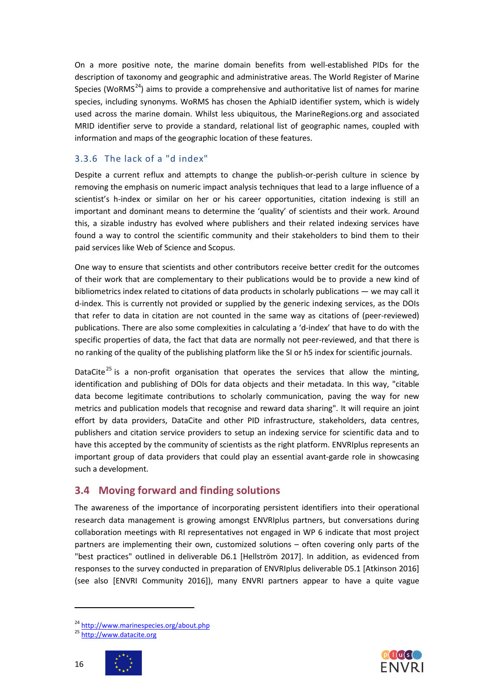On a more positive note, the marine domain benefits from well-established PIDs for the description of taxonomy and geographic and administrative areas. The World Register of Marine Species (WoRMS $<sup>24</sup>$ ) aims to provide a comprehensive and authoritative list of names for marine</sup> species, including synonyms. WoRMS has chosen the AphiaID identifier system, which is widely used across the marine domain. Whilst less ubiquitous, the MarineRegions.org and associated MRID identifier serve to provide a standard, relational list of geographic names, coupled with information and maps of the geographic location of these features.

### <span id="page-15-0"></span>3.3.6 The lack of a "d index"

Despite a current reflux and attempts to change the publish-or-perish culture in science by removing the emphasis on numeric impact analysis techniques that lead to a large influence of a scientist's h-index or similar on her or his career opportunities, citation indexing is still an important and dominant means to determine the 'quality' of scientists and their work. Around this, a sizable industry has evolved where publishers and their related indexing services have found a way to control the scientific community and their stakeholders to bind them to their paid services like Web of Science and Scopus.

One way to ensure that scientists and other contributors receive better credit for the outcomes of their work that are complementary to their publications would be to provide a new kind of bibliometrics index related to citations of data products in scholarly publications — we may call it d-index. This is currently not provided or supplied by the generic indexing services, as the DOIs that refer to data in citation are not counted in the same way as citations of (peer-reviewed) publications. There are also some complexities in calculating a 'd-index' that have to do with the specific properties of data, the fact that data are normally not peer-reviewed, and that there is no ranking of the quality of the publishing platform like the SI or h5 index for scientific journals.

DataCite<sup>[25](#page-15-3)</sup> is a non-profit organisation that operates the services that allow the minting, identification and publishing of DOIs for data objects and their metadata. In this way, "citable data become legitimate contributions to scholarly communication, paving the way for new metrics and publication models that recognise and reward data sharing". It will require an joint effort by data providers, DataCite and other PID infrastructure, stakeholders, data centres, publishers and citation service providers to setup an indexing service for scientific data and to have this accepted by the community of scientists as the right platform. ENVRIplus represents an important group of data providers that could play an essential avant-garde role in showcasing such a development.

## <span id="page-15-1"></span>**3.4 Moving forward and finding solutions**

The awareness of the importance of incorporating persistent identifiers into their operational research data management is growing amongst ENVRIplus partners, but conversations during collaboration meetings with RI representatives not engaged in WP 6 indicate that most project partners are implementing their own, customized solutions – often covering only parts of the "best practices" outlined in deliverable D6.1 [Hellström 2017]. In addition, as evidenced from responses to the survey conducted in preparation of ENVRIplus deliverable D5.1 [Atkinson 2016] (see also [ENVRI Community 2016]), many ENVRI partners appear to have a quite vague





16

<span id="page-15-3"></span><span id="page-15-2"></span><sup>&</sup>lt;sup>24</sup> <http://www.marinespecies.org/about.php><br><sup>25</sup> [http://www.datacite.org](http://www.datacite.org/)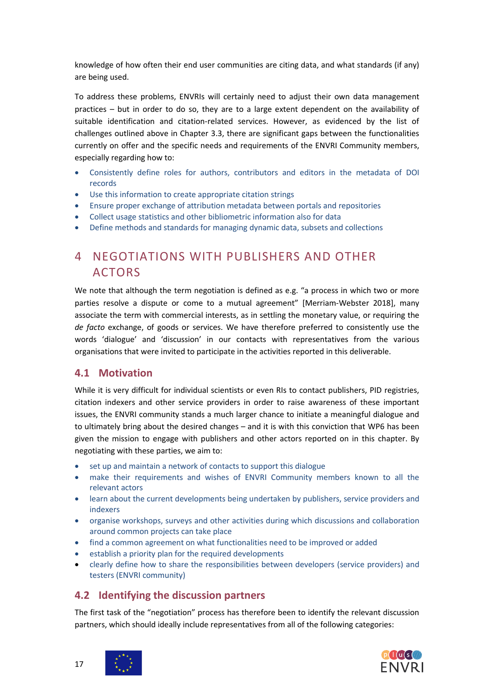knowledge of how often their end user communities are citing data, and what standards (if any) are being used.

To address these problems, ENVRIs will certainly need to adjust their own data management practices – but in order to do so, they are to a large extent dependent on the availability of suitable identification and citation-related services. However, as evidenced by the list of challenges outlined above in Chapter 3.3, there are significant gaps between the functionalities currently on offer and the specific needs and requirements of the ENVRI Community members, especially regarding how to:

- Consistently define roles for authors, contributors and editors in the metadata of DOI records
- Use this information to create appropriate citation strings
- Ensure proper exchange of attribution metadata between portals and repositories
- Collect usage statistics and other bibliometric information also for data
- Define methods and standards for managing dynamic data, subsets and collections

## <span id="page-16-0"></span>4 NEGOTIATIONS WITH PUBLISHERS AND OTHER ACTORS

We note that although the term negotiation is defined as e.g. "a process in which two or more parties resolve a dispute or come to a mutual agreement" [Merriam-Webster 2018], many associate the term with commercial interests, as in settling the monetary value, or requiring the *de facto* exchange, of goods or services. We have therefore preferred to consistently use the words 'dialogue' and 'discussion' in our contacts with representatives from the various organisations that were invited to participate in the activities reported in this deliverable.

## <span id="page-16-1"></span>**4.1 Motivation**

While it is very difficult for individual scientists or even RIs to contact publishers, PID registries, citation indexers and other service providers in order to raise awareness of these important issues, the ENVRI community stands a much larger chance to initiate a meaningful dialogue and to ultimately bring about the desired changes – and it is with this conviction that WP6 has been given the mission to engage with publishers and other actors reported on in this chapter. By negotiating with these parties, we aim to:

- set up and maintain a network of contacts to support this dialogue
- make their requirements and wishes of ENVRI Community members known to all the relevant actors
- learn about the current developments being undertaken by publishers, service providers and indexers
- organise workshops, surveys and other activities during which discussions and collaboration around common projects can take place
- find a common agreement on what functionalities need to be improved or added
- establish a priority plan for the required developments
- clearly define how to share the responsibilities between developers (service providers) and testers (ENVRI community)

## <span id="page-16-2"></span>**4.2 Identifying the discussion partners**

The first task of the "negotiation" process has therefore been to identify the relevant discussion partners, which should ideally include representatives from all of the following categories:





17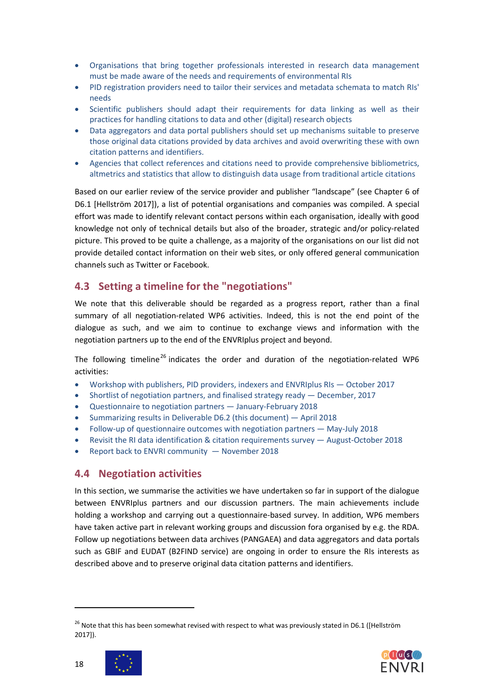- Organisations that bring together professionals interested in research data management must be made aware of the needs and requirements of environmental RIs
- PID registration providers need to tailor their services and metadata schemata to match RIs' needs
- Scientific publishers should adapt their requirements for data linking as well as their practices for handling citations to data and other (digital) research objects
- Data aggregators and data portal publishers should set up mechanisms suitable to preserve those original data citations provided by data archives and avoid overwriting these with own citation patterns and identifiers.
- Agencies that collect references and citations need to provide comprehensive bibliometrics, altmetrics and statistics that allow to distinguish data usage from traditional article citations

Based on our earlier review of the service provider and publisher "landscape" (see Chapter 6 of D6.1 [Hellström 2017]), a list of potential organisations and companies was compiled. A special effort was made to identify relevant contact persons within each organisation, ideally with good knowledge not only of technical details but also of the broader, strategic and/or policy-related picture. This proved to be quite a challenge, as a majority of the organisations on our list did not provide detailed contact information on their web sites, or only offered general communication channels such as Twitter or Facebook.

## <span id="page-17-0"></span>**4.3 Setting a timeline for the "negotiations"**

We note that this deliverable should be regarded as a progress report, rather than a final summary of all negotiation-related WP6 activities. Indeed, this is not the end point of the dialogue as such, and we aim to continue to exchange views and information with the negotiation partners up to the end of the ENVRIplus project and beyond.

The following timeline<sup>[26](#page-17-2)</sup> indicates the order and duration of the negotiation-related WP6 activities:

- Workshop with publishers, PID providers, indexers and ENVRIplus RIs October 2017
- Shortlist of negotiation partners, and finalised strategy ready December, 2017
- Questionnaire to negotiation partners January-February 2018
- Summarizing results in Deliverable D6.2 (this document) April 2018
- Follow-up of questionnaire outcomes with negotiation partners May-July 2018
- Revisit the RI data identification & citation requirements survey August-October 2018
- Report back to ENVRI community November 2018

## <span id="page-17-1"></span>**4.4 Negotiation activities**

In this section, we summarise the activities we have undertaken so far in support of the dialogue between ENVRIplus partners and our discussion partners. The main achievements include holding a workshop and carrying out a questionnaire-based survey. In addition, WP6 members have taken active part in relevant working groups and discussion fora organised by e.g. the RDA. Follow up negotiations between data archives (PANGAEA) and data aggregators and data portals such as GBIF and EUDAT (B2FIND service) are ongoing in order to ensure the RIs interests as described above and to preserve original data citation patterns and identifiers.

<span id="page-17-2"></span><sup>&</sup>lt;sup>26</sup> Note that this has been somewhat revised with respect to what was previously stated in D6.1 ([Hellström 2017]).



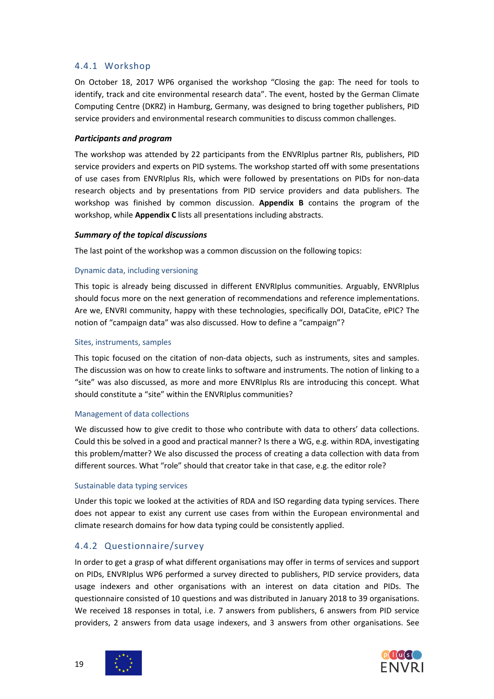#### <span id="page-18-0"></span>4.4.1 Workshop

On October 18, 2017 WP6 organised the workshop "Closing the gap: The need for tools to identify, track and cite environmental research data". The event, hosted by the German Climate Computing Centre (DKRZ) in Hamburg, Germany, was designed to bring together publishers, PID service providers and environmental research communities to discuss common challenges.

#### *Participants and program*

The workshop was attended by 22 participants from the ENVRIplus partner RIs, publishers, PID service providers and experts on PID systems. The workshop started off with some presentations of use cases from ENVRIplus RIs, which were followed by presentations on PIDs for non-data research objects and by presentations from PID service providers and data publishers. The workshop was finished by common discussion. **Appendix B** contains the program of the workshop, while **Appendix C** lists all presentations including abstracts.

#### *Summary of the topical discussions*

The last point of the workshop was a common discussion on the following topics:

#### Dynamic data, including versioning

This topic is already being discussed in different ENVRIplus communities. Arguably, ENVRIplus should focus more on the next generation of recommendations and reference implementations. Are we, ENVRI community, happy with these technologies, specifically DOI, DataCite, ePIC? The notion of "campaign data" was also discussed. How to define a "campaign"?

#### Sites, instruments, samples

This topic focused on the citation of non-data objects, such as instruments, sites and samples. The discussion was on how to create links to software and instruments. The notion of linking to a "site" was also discussed, as more and more ENVRIplus RIs are introducing this concept. What should constitute a "site" within the ENVRIplus communities?

#### Management of data collections

We discussed how to give credit to those who contribute with data to others' data collections. Could this be solved in a good and practical manner? Is there a WG, e.g. within RDA, investigating this problem/matter? We also discussed the process of creating a data collection with data from different sources. What "role" should that creator take in that case, e.g. the editor role?

#### Sustainable data typing services

Under this topic we looked at the activities of RDA and ISO regarding data typing services. There does not appear to exist any current use cases from within the European environmental and climate research domains for how data typing could be consistently applied.

### <span id="page-18-1"></span>4.4.2 Questionnaire/survey

In order to get a grasp of what different organisations may offer in terms of services and support on PIDs, ENVRIplus WP6 performed a survey directed to publishers, PID service providers, data usage indexers and other organisations with an interest on data citation and PIDs. The questionnaire consisted of 10 questions and was distributed in January 2018 to 39 organisations. We received 18 responses in total, i.e. 7 answers from publishers, 6 answers from PID service providers, 2 answers from data usage indexers, and 3 answers from other organisations. See



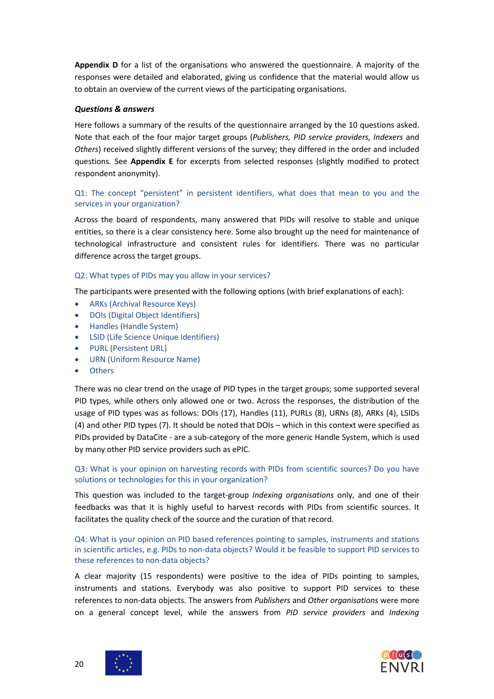**Appendix D** for a list of the organisations who answered the questionnaire. A majority of the responses were detailed and elaborated, giving us confidence that the material would allow us to obtain an overview of the current views of the participating organisations.

#### *Questions & answers*

Here follows a summary of the results of the questionnaire arranged by the 10 questions asked. Note that each of the four major target groups (*Publishers, PID service providers, Indexers* and *Others*) received slightly different versions of the survey; they differed in the order and included questions. See **Appendix E** for excerpts from selected responses (slightly modified to protect respondent anonymity).

#### Q1: The concept "persistent" in persistent identifiers, what does that mean to you and the services in your organization?

Across the board of respondents, many answered that PIDs will resolve to stable and unique entities, so there is a clear consistency here. Some also brought up the need for maintenance of technological infrastructure and consistent rules for identifiers. There was no particular difference across the target groups.

#### Q2: What types of PIDs may you allow in your services?

The participants were presented with the following options (with brief explanations of each):

- ARKs (Archival Resource Keys)
- DOIs (Digital Object Identifiers)
- Handles (Handle System)
- LSID (Life Science Unique Identifiers)
- PURL (Persistent URL)
- URN (Uniform Resource Name)
- **Others**

There was no clear trend on the usage of PID types in the target groups; some supported several PID types, while others only allowed one or two. Across the responses, the distribution of the usage of PID types was as follows: DOIs (17), Handles (11), PURLs (8), URNs (8), ARKs (4), LSIDs (4) and other PID types (7). It should be noted that DOIs – which in this context were specified as PIDs provided by DataCite - are a sub-category of the more generic Handle System, which is used by many other PID service providers such as ePIC.

#### Q3: What is your opinion on harvesting records with PIDs from scientific sources? Do you have solutions or technologies for this in your organization?

This question was included to the target-group *Indexing organisations* only, and one of their feedbacks was that it is highly useful to harvest records with PIDs from scientific sources. It facilitates the quality check of the source and the curation of that record.

Q4: What is your opinion on PID based references pointing to samples, instruments and stations in scientific articles, e.g. PIDs to non-data objects? Would it be feasible to support PID services to these references to non-data objects?

A clear majority (15 respondents) were positive to the idea of PIDs pointing to samples, instruments and stations. Everybody was also positive to support PID services to these references to non-data objects. The answers from *Publishers* and *Other organisations* were more on a general concept level, while the answers from *PID service providers* and *Indexing* 

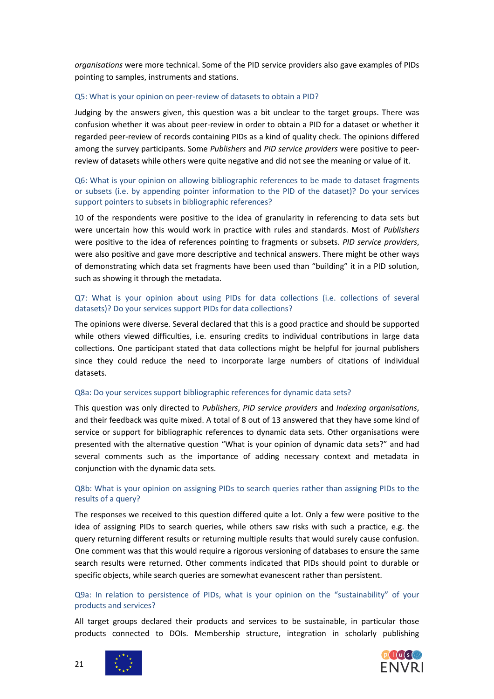*organisations* were more technical. Some of the PID service providers also gave examples of PIDs pointing to samples, instruments and stations.

#### Q5: What is your opinion on peer-review of datasets to obtain a PID?

Judging by the answers given, this question was a bit unclear to the target groups. There was confusion whether it was about peer-review in order to obtain a PID for a dataset or whether it regarded peer-review of records containing PIDs as a kind of quality check. The opinions differed among the survey participants. Some *Publishers* and *PID service providers* were positive to peerreview of datasets while others were quite negative and did not see the meaning or value of it.

#### Q6: What is your opinion on allowing bibliographic references to be made to dataset fragments or subsets (i.e. by appending pointer information to the PID of the dataset)? Do your services support pointers to subsets in bibliographic references?

10 of the respondents were positive to the idea of granularity in referencing to data sets but were uncertain how this would work in practice with rules and standards. Most of *Publishers* were positive to the idea of references pointing to fragments or subsets. *PID service providers*, were also positive and gave more descriptive and technical answers. There might be other ways of demonstrating which data set fragments have been used than "building" it in a PID solution, such as showing it through the metadata.

#### Q7: What is your opinion about using PIDs for data collections (i.e. collections of several datasets)? Do your services support PIDs for data collections?

The opinions were diverse. Several declared that this is a good practice and should be supported while others viewed difficulties, i.e. ensuring credits to individual contributions in large data collections. One participant stated that data collections might be helpful for journal publishers since they could reduce the need to incorporate large numbers of citations of individual datasets.

#### Q8a: Do your services support bibliographic references for dynamic data sets?

This question was only directed to *Publishers*, *PID service providers* and *Indexing organisations*, and their feedback was quite mixed. A total of 8 out of 13 answered that they have some kind of service or support for bibliographic references to dynamic data sets. Other organisations were presented with the alternative question "What is your opinion of dynamic data sets?" and had several comments such as the importance of adding necessary context and metadata in conjunction with the dynamic data sets.

#### Q8b: What is your opinion on assigning PIDs to search queries rather than assigning PIDs to the results of a query?

The responses we received to this question differed quite a lot. Only a few were positive to the idea of assigning PIDs to search queries, while others saw risks with such a practice, e.g. the query returning different results or returning multiple results that would surely cause confusion. One comment was that this would require a rigorous versioning of databases to ensure the same search results were returned. Other comments indicated that PIDs should point to durable or specific objects, while search queries are somewhat evanescent rather than persistent.

#### Q9a: In relation to persistence of PIDs, what is your opinion on the "sustainability" of your products and services?

All target groups declared their products and services to be sustainable, in particular those products connected to DOIs. Membership structure, integration in scholarly publishing





21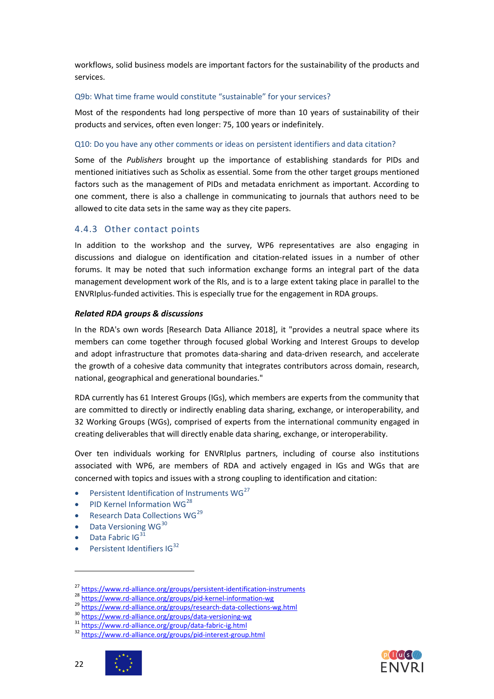workflows, solid business models are important factors for the sustainability of the products and services.

#### Q9b: What time frame would constitute "sustainable" for your services?

Most of the respondents had long perspective of more than 10 years of sustainability of their products and services, often even longer: 75, 100 years or indefinitely.

#### Q10: Do you have any other comments or ideas on persistent identifiers and data citation?

Some of the *Publishers* brought up the importance of establishing standards for PIDs and mentioned initiatives such as Scholix as essential. Some from the other target groups mentioned factors such as the management of PIDs and metadata enrichment as important. According to one comment, there is also a challenge in communicating to journals that authors need to be allowed to cite data sets in the same way as they cite papers.

#### <span id="page-21-0"></span>4.4.3 Other contact points

In addition to the workshop and the survey, WP6 representatives are also engaging in discussions and dialogue on identification and citation-related issues in a number of other forums. It may be noted that such information exchange forms an integral part of the data management development work of the RIs, and is to a large extent taking place in parallel to the ENVRIplus-funded activities. This is especially true for the engagement in RDA groups.

#### *Related RDA groups & discussions*

In the RDA's own words [Research Data Alliance 2018], it "provides a neutral space where its members can come together through focused global Working and Interest Groups to develop and adopt infrastructure that promotes data-sharing and data-driven research, and accelerate the growth of a cohesive data community that integrates contributors across domain, research, national, geographical and generational boundaries."

RDA currently has 61 Interest Groups (IGs), which members are experts from the community that are committed to directly or indirectly enabling data sharing, exchange, or interoperability, and 32 Working Groups (WGs), comprised of experts from the international community engaged in creating deliverables that will directly enable data sharing, exchange, or interoperability.

Over ten individuals working for ENVRIplus partners, including of course also institutions associated with WP6, are members of RDA and actively engaged in IGs and WGs that are concerned with topics and issues with a strong coupling to identification and citation:

- Persistent Identification of Instruments WG<sup>[27](#page-21-1)</sup>
- PID Kernel Information WG<sup>[28](#page-21-2)</sup>
- Research Data Collections  $WG^{29}$  $WG^{29}$  $WG^{29}$
- Data Versioning  $WG^{30}$  $WG^{30}$  $WG^{30}$
- Data Fabric IG $^{31}$  $^{31}$  $^{31}$
- Persistent Identifiers IG<sup>[32](#page-21-6)</sup>



<span id="page-21-3"></span><span id="page-21-2"></span>

<span id="page-21-1"></span><sup>&</sup>lt;sup>27</sup> <https://www.rd-alliance.org/groups/persistent-identification-instruments><br>
<sup>28</sup> <https://www.rd-alliance.org/groups/pid-kernel-information-wg><br>
<sup>29</sup> <https://www.rd-alliance.org/groups/research-data-collections-wg.html><br>
<sup></sup>

<span id="page-21-5"></span><span id="page-21-4"></span>

<span id="page-21-6"></span>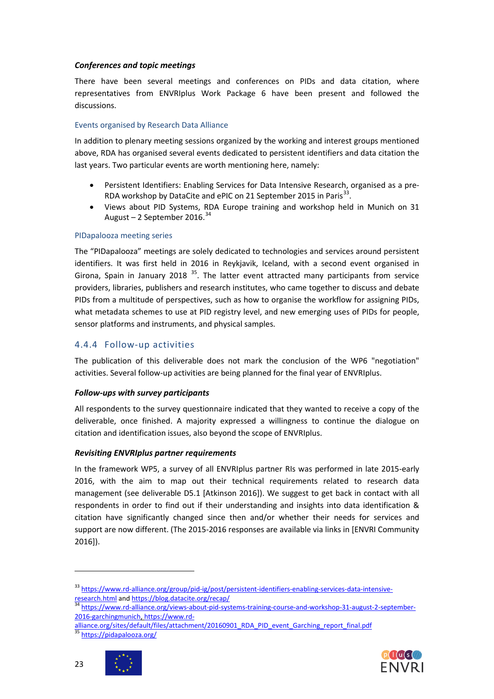#### *Conferences and topic meetings*

There have been several meetings and conferences on PIDs and data citation, where representatives from ENVRIplus Work Package 6 have been present and followed the discussions.

#### Events organised by Research Data Alliance

In addition to plenary meeting sessions organized by the working and interest groups mentioned above, RDA has organised several events dedicated to persistent identifiers and data citation the last years. Two particular events are worth mentioning here, namely:

- Persistent Identifiers: Enabling Services for Data Intensive Research, organised as a pre-RDA workshop by DataCite and ePIC on 21 September 2015 in Paris<sup>33</sup>.
- Views about PID Systems, RDA Europe training and workshop held in Munich on 31 August – 2 September 2016. [34](#page-22-2)

#### PIDapalooza meeting series

The "PIDapalooza" meetings are solely dedicated to technologies and services around persistent identifiers. It was first held in 2016 in Reykjavik, Iceland, with a second event organised in Girona, Spain in January 2018<sup>[35](#page-22-3)</sup>. The latter event attracted many participants from service providers, libraries, publishers and research institutes, who came together to discuss and debate PIDs from a multitude of perspectives, such as how to organise the workflow for assigning PIDs, what metadata schemes to use at PID registry level, and new emerging uses of PIDs for people, sensor platforms and instruments, and physical samples.

### <span id="page-22-0"></span>4.4.4 Follow-up activities

The publication of this deliverable does not mark the conclusion of the WP6 "negotiation" activities. Several follow-up activities are being planned for the final year of ENVRIplus.

#### *Follow-ups with survey participants*

All respondents to the survey questionnaire indicated that they wanted to receive a copy of the deliverable, once finished. A majority expressed a willingness to continue the dialogue on citation and identification issues, also beyond the scope of ENVRIplus.

#### *Revisiting ENVRIplus partner requirements*

In the framework WP5, a survey of all ENVRIplus partner RIs was performed in late 2015-early 2016, with the aim to map out their technical requirements related to research data management (see deliverable D5.1 [Atkinson 2016]). We suggest to get back in contact with all respondents in order to find out if their understanding and insights into data identification & citation have significantly changed since then and/or whether their needs for services and support are now different. (The 2015-2016 responses are available via links in [ENVRI Community 2016]).





23

<span id="page-22-1"></span><sup>33</sup> [https://www.rd-alliance.org/group/pid-ig/post/persistent-identifiers-enabling-services-data-intensive-](https://www.rd-alliance.org/group/pid-ig/post/persistent-identifiers-enabling-services-data-intensive-research.html)

<span id="page-22-2"></span>[research.html](https://www.rd-alliance.org/group/pid-ig/post/persistent-identifiers-enabling-services-data-intensive-research.html) an[d https://blog.datacite.org/recap/](https://blog.datacite.org/recap/)<br><sup>34</sup> [https://www.rd-alliance.org/views-about-pid-systems-training-course-and-workshop-31-august-2-september-](https://www.rd-alliance.org/views-about-pid-systems-training-course-and-workshop-31-august-2-september-2016-garchingmunich)[2016-garchingmunich,](https://www.rd-alliance.org/views-about-pid-systems-training-course-and-workshop-31-august-2-september-2016-garchingmunich) [https://www.rd-](https://www.rd-alliance.org/sites/default/files/attachment/20160901_RDA_PID_event_Garching_report_final.pdf)

<span id="page-22-3"></span>[alliance.org/sites/default/files/attachment/20160901\\_RDA\\_PID\\_event\\_Garching\\_report\\_final.pdf](https://www.rd-alliance.org/sites/default/files/attachment/20160901_RDA_PID_event_Garching_report_final.pdf)<br><sup>35</sup> <https://pidapalooza.org/>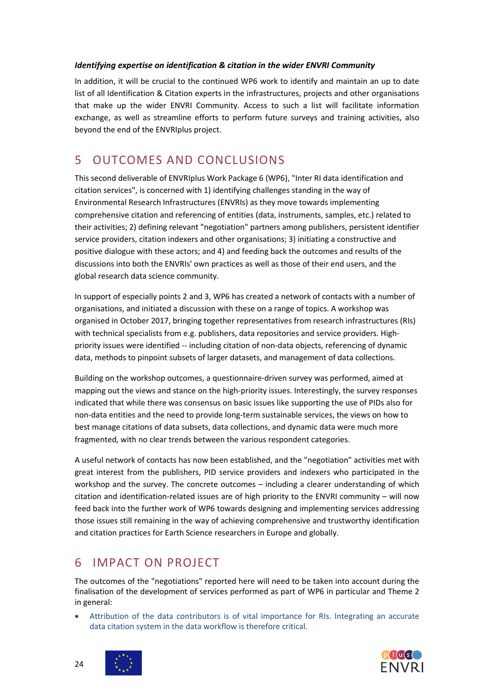#### *Identifying expertise on identification & citation in the wider ENVRI Community*

In addition, it will be crucial to the continued WP6 work to identify and maintain an up to date list of all Identification & Citation experts in the infrastructures, projects and other organisations that make up the wider ENVRI Community. Access to such a list will facilitate information exchange, as well as streamline efforts to perform future surveys and training activities, also beyond the end of the ENVRIplus project.

## <span id="page-23-0"></span>5 OUTCOMES AND CONCLUSIONS

This second deliverable of ENVRIplus Work Package 6 (WP6), "Inter RI data identification and citation services", is concerned with 1) identifying challenges standing in the way of Environmental Research Infrastructures (ENVRIs) as they move towards implementing comprehensive citation and referencing of entities (data, instruments, samples, etc.) related to their activities; 2) defining relevant "negotiation" partners among publishers, persistent identifier service providers, citation indexers and other organisations; 3) initiating a constructive and positive dialogue with these actors; and 4) and feeding back the outcomes and results of the discussions into both the ENVRIs' own practices as well as those of their end users, and the global research data science community.

In support of especially points 2 and 3, WP6 has created a network of contacts with a number of organisations, and initiated a discussion with these on a range of topics. A workshop was organised in October 2017, bringing together representatives from research infrastructures (RIs) with technical specialists from e.g. publishers, data repositories and service providers. Highpriority issues were identified -- including citation of non-data objects, referencing of dynamic data, methods to pinpoint subsets of larger datasets, and management of data collections.

Building on the workshop outcomes, a questionnaire-driven survey was performed, aimed at mapping out the views and stance on the high-priority issues. Interestingly, the survey responses indicated that while there was consensus on basic issues like supporting the use of PIDs also for non-data entities and the need to provide long-term sustainable services, the views on how to best manage citations of data subsets, data collections, and dynamic data were much more fragmented, with no clear trends between the various respondent categories.

A useful network of contacts has now been established, and the "negotiation" activities met with great interest from the publishers, PID service providers and indexers who participated in the workshop and the survey. The concrete outcomes – including a clearer understanding of which citation and identification-related issues are of high priority to the ENVRI community – will now feed back into the further work of WP6 towards designing and implementing services addressing those issues still remaining in the way of achieving comprehensive and trustworthy identification and citation practices for Earth Science researchers in Europe and globally.

## <span id="page-23-1"></span>6 IMPACT ON PROJECT

The outcomes of the "negotiations" reported here will need to be taken into account during the finalisation of the development of services performed as part of WP6 in particular and Theme 2 in general:

• Attribution of the data contributors is of vital importance for RIs. Integrating an accurate data citation system in the data workflow is therefore critical.





24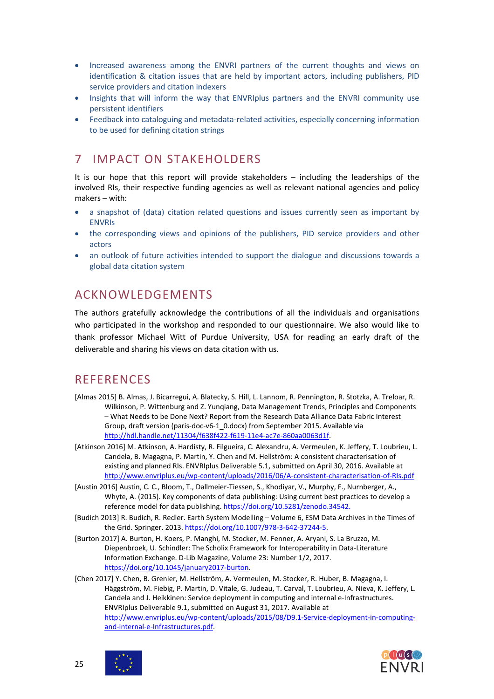- Increased awareness among the ENVRI partners of the current thoughts and views on identification & citation issues that are held by important actors, including publishers, PID service providers and citation indexers
- Insights that will inform the way that ENVRIplus partners and the ENVRI community use persistent identifiers
- Feedback into cataloguing and metadata-related activities, especially concerning information to be used for defining citation strings

## <span id="page-24-0"></span>7 IMPACT ON STAKEHOLDERS

It is our hope that this report will provide stakeholders – including the leaderships of the involved RIs, their respective funding agencies as well as relevant national agencies and policy makers – with:

- a snapshot of (data) citation related questions and issues currently seen as important by ENVRIs
- the corresponding views and opinions of the publishers, PID service providers and other actors
- an outlook of future activities intended to support the dialogue and discussions towards a global data citation system

## <span id="page-24-1"></span>ACKNOWLEDGEMENTS

The authors gratefully acknowledge the contributions of all the individuals and organisations who participated in the workshop and responded to our questionnaire. We also would like to thank professor Michael Witt of Purdue University, USA for reading an early draft of the deliverable and sharing his views on data citation with us.

## <span id="page-24-2"></span>**REFERENCES**

- [Almas 2015] B. Almas, J. Bicarregui, A. Blatecky, S. Hill, L. Lannom, R. Pennington, R. Stotzka, A. Treloar, R. Wilkinson, P. Wittenburg and Z. Yunqiang, Data Management Trends, Principles and Components – What Needs to be Done Next? Report from the Research Data Alliance Data Fabric Interest Group, draft version (paris-doc-v6-1\_0.docx) from September 2015. Available via [http://hdl.handle.net/11304/f638f422-f619-11e4-ac7e-860aa0063d1f.](http://hdl.handle.net/11304/f638f422-f619-11e4-ac7e-860aa0063d1f)
- [Atkinson 2016] M. Atkinson, A. Hardisty, R. Filgueira, C. Alexandru, A. Vermeulen, K. Jeffery, T. Loubrieu, L. Candela, B. Magagna, P. Martin, Y. Chen and M. Hellström: A consistent characterisation of existing and planned RIs. ENVRIplus Deliverable 5.1, submitted on April 30, 2016. Available at <http://www.envriplus.eu/wp-content/uploads/2016/06/A-consistent-characterisation-of-RIs.pdf>
- [Austin 2016] Austin, C. C., Bloom, T., Dallmeier-Tiessen, S., Khodiyar, V., Murphy, F., Nurnberger, A., Whyte, A. (2015). Key components of data publishing: Using current best practices to develop a reference model for data publishing[. https://doi.org/10.5281/zenodo.34542.](https://doi.org/10.5281/zenodo.34542)
- [Budich 2013] R. Budich, R. Redler. Earth System Modelling Volume 6, ESM Data Archives in the Times of the Grid. Springer. 2013. [https://doi.org/10.1007/978-3-642-37244-5.](https://doi.org/10.1007/978-3-642-37244-5)
- [Burton 2017] A. Burton, H. Koers, P. Manghi, M. Stocker, M. Fenner, A. Aryani, S. La Bruzzo, M. Diepenbroek, U. Schindler: The Scholix Framework for Interoperability in Data-Literature Information Exchange. D-Lib Magazine, Volume 23: Number 1/2, 2017. [https://doi.org/10.1045/january2017-burton.](https://doi.org/10.1045/january2017-burton)

[Chen 2017] Y. Chen, B. Grenier, M. Hellström, A. Vermeulen, M. Stocker, R. Huber, B. Magagna, I. Häggström, M. Fiebig, P. Martin, D. Vitale, G. Judeau, T. Carval, T. Loubrieu, A. Nieva, K. Jeffery, L. Candela and J. Heikkinen: Service deployment in computing and internal e-Infrastructures. ENVRIplus Deliverable 9.1, submitted on August 31, 2017. Available at [http://www.envriplus.eu/wp-content/uploads/2015/08/D9.1-Service-deployment-in-computing](http://www.envriplus.eu/wp-content/uploads/2015/08/D9.1-Service-deployment-in-computing-and-internal-e-Infrastructures.pdf)[and-internal-e-Infrastructures.pdf.](http://www.envriplus.eu/wp-content/uploads/2015/08/D9.1-Service-deployment-in-computing-and-internal-e-Infrastructures.pdf)



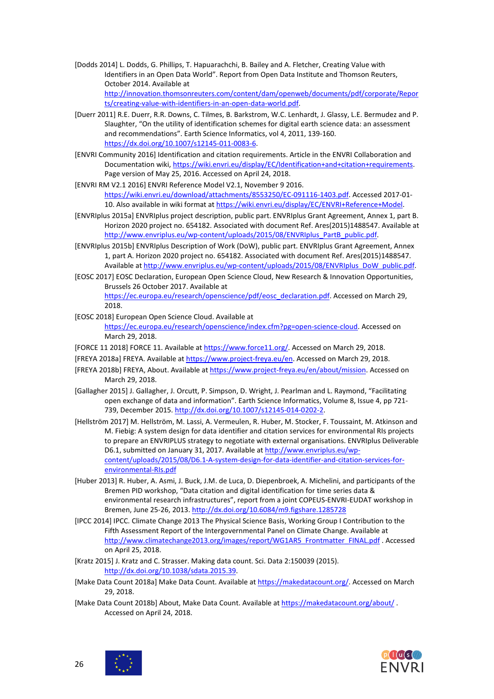- [Dodds 2014] L. Dodds, G. Phillips, T. Hapuarachchi, B. Bailey and A. Fletcher, Creating Value with Identifiers in an Open Data World". Report from Open Data Institute and Thomson Reuters, October 2014. Available at [http://innovation.thomsonreuters.com/content/dam/openweb/documents/pdf/corporate/Repor](http://innovation.thomsonreuters.com/content/dam/openweb/documents/pdf/corporate/Reports/creating-value-with-identifiers-in-an-open-data-world.pdf) [ts/creating-value-with-identifiers-in-an-open-data-world.pdf.](http://innovation.thomsonreuters.com/content/dam/openweb/documents/pdf/corporate/Reports/creating-value-with-identifiers-in-an-open-data-world.pdf)
- [Duerr 2011] R.E. Duerr, R.R. Downs, C. Tilmes, B. Barkstrom, W.C. Lenhardt, J. Glassy, L.E. Bermudez and P. Slaughter, "On the utility of identification schemes for digital earth science data: an assessment and recommendations". Earth Science Informatics, vol 4, 2011, 139-160. [https://dx.doi.org/10.1007/s12145-011-0083-6.](https://dx.doi.org/10.1007/s12145-011-0083-6)
- [ENVRI Community 2016] Identification and citation requirements. Article in the ENVRI Collaboration and Documentation wiki[, https://wiki.envri.eu/display/EC/Identification+and+citation+requirements.](https://wiki.envri.eu/display/EC/Identification+and+citation+requirements)  Page version of May 25, 2016. Accessed on April 24, 2018.
- [ENVRI RM V2.1 2016] ENVRI Reference Model V2.1, November 9 2016. [https://wiki.envri.eu/download/attachments/8553250/EC-091116-1403.pdf.](https://wiki.envri.eu/download/attachments/8553250/EC-091116-1403.pdf) Accessed 2017-01 10. Also available in wiki format a[t https://wiki.envri.eu/display/EC/ENVRI+Reference+Model.](https://wiki.envri.eu/display/EC/ENVRI+Reference+Model)
- [ENVRIplus 2015a] ENVRIplus project description, public part. ENVRIplus Grant Agreement, Annex 1, part B. Horizon 2020 project no. 654182. Associated with document Ref. Ares(2015)1488547. Available at [http://www.envriplus.eu/wp-content/uploads/2015/08/ENVRIplus\\_PartB\\_public.pdf.](http://www.envriplus.eu/wp-content/uploads/2015/08/ENVRIplus_PartB_public.pdf)
- [ENVRIplus 2015b] ENVRIplus Description of Work (DoW), public part. ENVRIplus Grant Agreement, Annex 1, part A. Horizon 2020 project no. 654182. Associated with document Ref. Ares(2015)1488547. Available a[t http://www.envriplus.eu/wp-content/uploads/2015/08/ENVRIplus\\_DoW\\_public.pdf.](http://www.envriplus.eu/wp-content/uploads/2015/08/ENVRIplus_DoW_public.pdf)
- [EOSC 2017] EOSC Declaration, European Open Science Cloud, New Research & Innovation Opportunities, Brussels 26 October 2017. Available at [https://ec.europa.eu/research/openscience/pdf/eosc\\_declaration.pdf.](https://ec.europa.eu/research/openscience/pdf/eosc_declaration.pdf) Accessed on March 29,
- [EOSC 2018] European Open Science Cloud. Available at

2018.

[https://ec.europa.eu/research/openscience/index.cfm?pg=open-science-cloud.](https://ec.europa.eu/research/openscience/index.cfm?pg=open-science-cloud) Accessed on March 29, 2018.

- [FORCE 11 2018] FORCE 11. Available at [https://www.force11.org/.](https://www.force11.org/) Accessed on March 29, 2018.
- [FREYA 2018a] FREYA. Available at [https://www.project-freya.eu/en.](https://www.project-freya.eu/en) Accessed on March 29, 2018.
- [FREYA 2018b] FREYA, About. Available at [https://www.project-freya.eu/en/about/mission.](https://www.project-freya.eu/en/about/mission) Accessed on March 29, 2018.
- [Gallagher 2015] J. Gallagher, J. Orcutt, P. Simpson, D. Wright, J. Pearlman and L. Raymond, "Facilitating open exchange of data and information". Earth Science Informatics, Volume 8, Issue 4, pp 721- 739, December 2015. [http://dx.doi.org/10.1007/s12145-014-0202-2.](http://dx.doi.org/10.1007/s12145-014-0202-2)
- [Hellström 2017] M. Hellström, M. Lassi, A. Vermeulen, R. Huber, M. Stocker, F. Toussaint, M. Atkinson and M. Fiebig: A system design for data identifier and citation services for environmental RIs projects to prepare an ENVRIPLUS strategy to negotiate with external organisations. ENVRIplus Deliverable D6.1, submitted on January 31, 2017. Available a[t http://www.envriplus.eu/wp](http://www.envriplus.eu/wp-content/uploads/2015/08/D6.1-A-system-design-for-data-identifier-and-citation-services-for-environmental-RIs.pdf)[content/uploads/2015/08/D6.1-A-system-design-for-data-identifier-and-citation-services-for](http://www.envriplus.eu/wp-content/uploads/2015/08/D6.1-A-system-design-for-data-identifier-and-citation-services-for-environmental-RIs.pdf)[environmental-RIs.pdf](http://www.envriplus.eu/wp-content/uploads/2015/08/D6.1-A-system-design-for-data-identifier-and-citation-services-for-environmental-RIs.pdf)
- [Huber 2013] R. Huber, A. Asmi, J. Buck, J.M. de Luca, D. Diepenbroek, A. Michelini, and participants of the Bremen PID workshop, "Data citation and digital identification for time series data & environmental research infrastructures", report from a joint COPEUS-ENVRI-EUDAT workshop in Bremen, June 25-26, 2013[. http://dx.doi.org/10.6084/m9.figshare.1285728](http://dx.doi.org/10.6084/m9.figshare.1285728)
- [IPCC 2014] IPCC. Climate Change 2013 The Physical Science Basis, Working Group I Contribution to the Fifth Assessment Report of the Intergovernmental Panel on Climate Change. Available at [http://www.climatechange2013.org/images/report/WG1AR5\\_Frontmatter\\_FINAL.pdf](http://www.climatechange2013.org/images/report/WG1AR5_Frontmatter_FINAL.pdf) . Accessed on April 25, 2018.
- [Kratz 2015] J. Kratz and C. Strasser. Making data count. Sci. Data 2:150039 (2015). [http://dx.doi.org/10.1038/sdata.2015.39.](http://dx.doi.org/10.1038/sdata.2015.39)
- [Make Data Count 2018a] Make Data Count. Available a[t https://makedatacount.org/.](https://makedatacount.org/) Accessed on March 29, 2018.
- [Make Data Count 2018b] About, Make Data Count. Available at<https://makedatacount.org/about/> . Accessed on April 24, 2018.



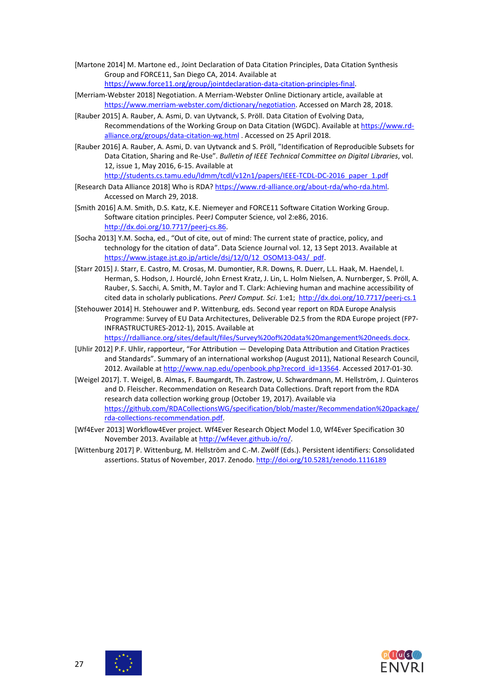- [Martone 2014] M. Martone ed., Joint Declaration of Data Citation Principles, Data Citation Synthesis Group and FORCE11, San Diego CA, 2014. Available at [https://www.force11.org/group/jointdeclaration-data-citation-principles-final.](https://www.force11.org/group/jointdeclaration-data-citation-principles-final)
- [Merriam-Webster 2018] Negotiation. A Merriam-Webster Online Dictionary article, available at [https://www.merriam-webster.com/dictionary/negotiation.](https://www.merriam-webster.com/dictionary/negotiation) Accessed on March 28, 2018.
- [Rauber 2015] A. Rauber, A. Asmi, D. van Uytvanck, S. Pröll. Data Citation of Evolving Data, Recommendations of the Working Group on Data Citation (WGDC). Available at [https://www.rd](https://www.rd-alliance.org/groups/data-citation-wg.html)[alliance.org/groups/data-citation-wg.html](https://www.rd-alliance.org/groups/data-citation-wg.html) . Accessed on 25 April 2018.
- [Rauber 2016] A. Rauber, A. Asmi, D. van Uytvanck and S. Pröll, "Identification of Reproducible Subsets for Data Citation, Sharing and Re-Use". *Bulletin of IEEE Technical Committee on Digital Libraries*, vol. 12, issue 1, May 2016, 6-15. Available at [http://students.cs.tamu.edu/ldmm/tcdl/v12n1/papers/IEEE-TCDL-DC-2016\\_paper\\_1.pdf](http://students.cs.tamu.edu/ldmm/tcdl/v12n1/papers/IEEE-TCDL-DC-2016_paper_1.pdf)
- [Research Data Alliance 2018] Who is RDA? [https://www.rd-alliance.org/about-rda/who-rda.html.](https://www.rd-alliance.org/about-rda/who-rda.html) Accessed on March 29, 2018.
- [Smith 2016] A.M. Smith, D.S. Katz, K.E. Niemeyer and FORCE11 Software Citation Working Group. Software citation principles. PeerJ Computer Science, vol 2:e86, 2016. [http://dx.doi.org/10.7717/peerj-cs.86.](http://dx.doi.org/10.7717/peerj-cs.86)
- [Socha 2013] Y.M. Socha, ed., "Out of cite, out of mind: The current state of practice, policy, and technology for the citation of data". Data Science Journal vol. 12, 13 Sept 2013. Available at [https://www.jstage.jst.go.jp/article/dsj/12/0/12\\_OSOM13-043/\\_pdf.](https://www.jstage.jst.go.jp/article/dsj/12/0/12_OSOM13-043/_pdf)
- [Starr 2015] J. Starr, E. Castro, M. Crosas, M. Dumontier, R.R. Downs, R. Duerr, L.L. Haak, M. Haendel, I. Herman, S. Hodson, J. Hourclé, John Ernest Kratz, J. Lin, L. Holm Nielsen, A. Nurnberger, S. Pröll, A. Rauber, S. Sacchi, A. Smith, M. Taylor and T. Clark: Achieving human and machine accessibility of cited data in scholarly publications. *PeerJ Comput. Sci*. 1:e1; <http://dx.doi.org/10.7717/peerj-cs.1>
- [Stehouwer 2014] H. Stehouwer and P. Wittenburg, eds. Second year report on RDA Europe Analysis Programme: Survey of EU Data Architectures, Deliverable D2.5 from the RDA Europe project (FP7- INFRASTRUCTURES-2012-1), 2015. Available at [https://rdalliance.org/sites/default/files/Survey%20of%20data%20mangement%20needs.docx.](https://rdalliance.org/sites/default/files/Survey%20of%20data%20mangement%20needs.docx)
- [Uhlir 2012] P.F. Uhlir, rapporteur, "For Attribution Developing Data Attribution and Citation Practices and Standards". Summary of an international workshop (August 2011), National Research Council, 2012. Available at [http://www.nap.edu/openbook.php?record\\_id=13564.](http://www.nap.edu/openbook.php?record_id=13564) Accessed 2017-01-30.
- [Weigel 2017]. T. Weigel, B. Almas, F. Baumgardt, Th. Zastrow, U. Schwardmann, M. Hellström, J. Quinteros and D. Fleischer. Recommendation on Research Data Collections. Draft report from the RDA research data collection working group (October 19, 2017). Available via [https://github.com/RDACollectionsWG/specification/blob/master/Recommendation%20package/](https://github.com/RDACollectionsWG/specification/blob/master/Recommendation%20package/rda-collections-recommendation.pdf) [rda-collections-recommendation.pdf.](https://github.com/RDACollectionsWG/specification/blob/master/Recommendation%20package/rda-collections-recommendation.pdf)
- [Wf4Ever 2013] Workflow4Ever project. Wf4Ever Research Object Model 1.0, Wf4Ever Specification 30 November 2013. Available at [http://wf4ever.github.io/ro/.](http://wf4ever.github.io/ro/)
- [Wittenburg 2017] P. Wittenburg, M. Hellström and C.-M. Zwölf (Eds.). Persistent identifiers: Consolidated assertions. Status of November, 2017. Zenodo[. http://doi.org/10.5281/zenodo.1116189](http://doi.org/10.5281/zenodo.1116189)



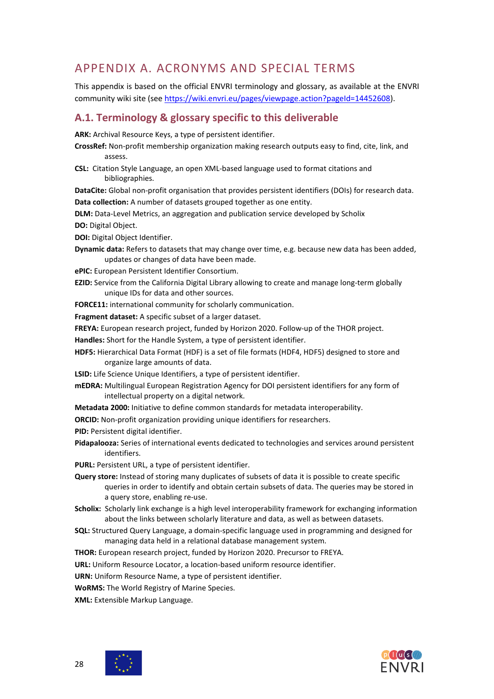## <span id="page-27-0"></span>APPENDIX A. ACRONYMS AND SPECIAL TERMS

This appendix is based on the official ENVRI terminology and glossary, as available at the ENVRI community wiki site (see [https://wiki.envri.eu/pages/viewpage.action?pageId=14452608\)](https://wiki.envri.eu/pages/viewpage.action?pageId=14452608).

### <span id="page-27-1"></span>**A.1. Terminology & glossary specific to this deliverable**

**ARK:** Archival Resource Keys, a type of persistent identifier.

- **CrossRef:** Non-profit membership organization making research outputs easy to find, cite, link, and assess.
- **CSL:** Citation Style Language, an open XML-based language used to format citations and bibliographies.

**DataCite:** Global non-profit organisation that provides persistent identifiers (DOIs) for research data.

**Data collection:** A number of datasets grouped together as one entity.

**DLM:** Data-Level Metrics, an aggregation and publication service developed by Scholix **DO:** Digital Object.

**DOI:** Digital Object Identifier.

**Dynamic data:** Refers to datasets that may change over time, e.g. because new data has been added, updates or changes of data have been made.

**ePIC:** European Persistent Identifier Consortium.

- **EZID:** Service from the California Digital Library allowing to create and manage long-term globally unique IDs for data and other sources.
- **FORCE11:** international community for scholarly communication.

**Fragment dataset:** A specific subset of a larger dataset.

**FREYA:** European research project, funded by Horizon 2020. Follow-up of the THOR project.

**Handles:** Short for the Handle System, a type of persistent identifier.

**HDF5:** Hierarchical Data Format (HDF) is a set of file formats (HDF4, HDF5) designed to store and organize large amounts of data.

**LSID:** Life Science Unique Identifiers, a type of persistent identifier.

**mEDRA:** Multilingual European Registration Agency for DOI persistent identifiers for any form of intellectual property on a digital network.

**Metadata 2000:** Initiative to define common standards for metadata interoperability.

**ORCID:** Non-profit organization providing unique identifiers for researchers.

**PID:** Persistent digital identifier.

**Pidapalooza:** Series of international events dedicated to technologies and services around persistent identifiers.

**PURL:** Persistent URL, a type of persistent identifier.

**Query store:** Instead of storing many duplicates of subsets of data it is possible to create specific queries in order to identify and obtain certain subsets of data. The queries may be stored in a query store, enabling re-use.

- **Scholix:** Scholarly link exchange is a high level interoperability framework for exchanging information about the links between scholarly literature and data, as well as between datasets.
- **SQL:** Structured Query Language, a domain-specific language used in programming and designed for managing data held in a relational database management system.
- **THOR:** European research project, funded by Horizon 2020. Precursor to FREYA.

**URL:** Uniform Resource Locator, a location-based uniform resource identifier.

**URN:** Uniform Resource Name, a type of persistent identifier.

**WoRMS:** The World Registry of Marine Species.

**XML:** Extensible Markup Language.



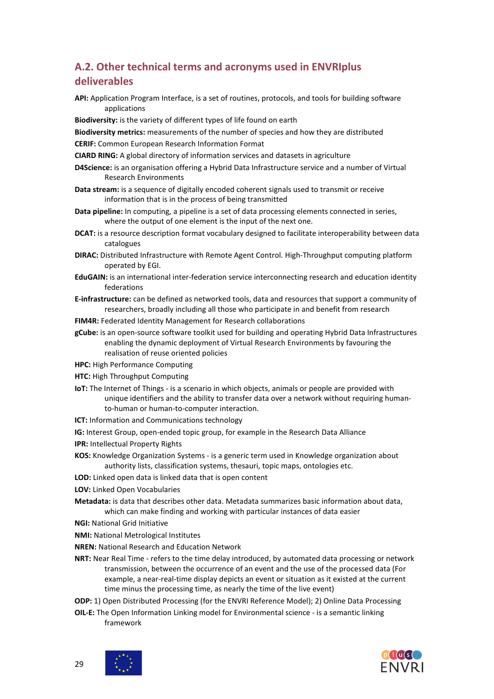## <span id="page-28-0"></span>**A.2. Other technical terms and acronyms used in ENVRIplus deliverables**

**API:** Application Program Interface, is a set of routines, protocols, and tools for building software applications

**Biodiversity:** is the variety of different types of life found on earth

**Biodiversity metrics:** measurements of the number of species and how they are distributed

**CERIF:** Common European Research Information Format

**CIARD RING:** A global directory of information services and datasets in agriculture

- **D4Science:** is an organisation offering a Hybrid Data Infrastructure service and a number of Virtual Research Environments
- **Data stream:** is a sequence of digitally encoded coherent signals used to transmit or receive information that is in the process of being transmitted
- **Data pipeline:** In computing, a pipeline is a set of data processing elements connected in series, where the output of one element is the input of the next one.
- **DCAT:** is a resource description format vocabulary designed to facilitate interoperability between data catalogues
- **DIRAC:** Distributed Infrastructure with Remote Agent Control. High-Throughput computing platform operated by EGI.
- **EduGAIN:** is an international inter-federation service interconnecting research and education identity federations
- **E-infrastructure:** can be defined as networked tools, data and resources that support a community of researchers, broadly including all those who participate in and benefit from research
- **FIM4R:** Federated Identity Management for Research collaborations
- **gCube:** is an open-source software toolkit used for building and operating Hybrid Data Infrastructures enabling the dynamic deployment of Virtual Research Environments by favouring the realisation of reuse oriented policies
- **HPC:** High Performance Computing
- **HTC:** High Throughput Computing
- **IoT:** The Internet of Things is a scenario in which objects, animals or people are provided with unique identifiers and the ability to transfer data over a network without requiring humanto-human or human-to-computer interaction.
- **ICT:** Information and Communications technology
- **IG:** Interest Group, open-ended topic group, for example in the Research Data Alliance
- **IPR:** Intellectual Property Rights
- **KOS:** Knowledge Organization Systems is a generic term used in Knowledge organization about authority lists, classification systems, thesauri, topic maps, ontologies etc.
- **LOD:** Linked open data is linked data that is open content
- **LOV:** Linked Open Vocabularies
- **Metadata:** is data that describes other data. Metadata summarizes basic information about data, which can make finding and working with particular instances of data easier
- **NGI:** National Grid Initiative
- **NMI:** National Metrological Institutes
- **NREN:** National Research and Education Network
- **NRT:** Near Real Time refers to the time delay introduced, by automated data processing or network transmission, between the occurrence of an event and the use of the processed data (For example, a near-real-time display depicts an event or situation as it existed at the current time minus the processing time, as nearly the time of the live event)
- **ODP:** 1) Open Distributed Processing (for the ENVRI Reference Model); 2) Online Data Processing
- **OIL-E:** The Open Information Linking model for Environmental science is a semantic linking framework

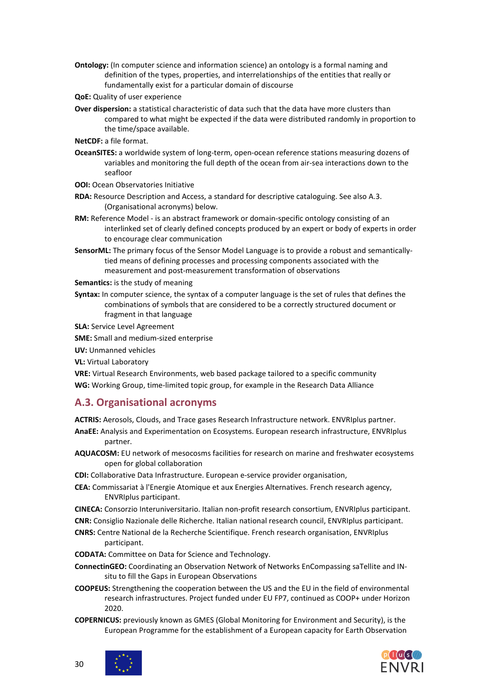- **Ontology:** (In computer science and information science) an ontology is a formal naming and definition of the types, properties, and interrelationships of the entities that really or fundamentally exist for a particular domain of discourse
- **QoE:** Quality of user experience
- **Over dispersion:** a statistical characteristic of data such that the data have more clusters than compared to what might be expected if the data were distributed randomly in proportion to the time/space available.
- **NetCDF:** a file format.
- **OceanSITES:** a worldwide system of long-term, open-ocean reference stations measuring dozens of variables and monitoring the full depth of the ocean from air-sea interactions down to the seafloor
- **OOI:** Ocean Observatories Initiative
- **RDA:** Resource Description and Access, a standard for descriptive cataloguing. See also A.3. (Organisational acronyms) below.
- **RM:** Reference Model is an abstract framework or domain-specific ontology consisting of an interlinked set of clearly defined concepts produced by an expert or body of experts in order to encourage clear communication
- **SensorML:** The primary focus of the Sensor Model Language is to provide a robust and semanticallytied means of defining processes and processing components associated with the measurement and post-measurement transformation of observations
- **Semantics:** is the study of meaning
- **Syntax:** In computer science, the syntax of a computer language is the set of rules that defines the combinations of symbols that are considered to be a correctly structured document or fragment in that language

**SLA:** Service Level Agreement

**SME:** Small and medium-sized enterprise

**UV:** Unmanned vehicles

**VL:** Virtual Laboratory

**VRE:** Virtual Research Environments, web based package tailored to a specific community **WG:** Working Group, time-limited topic group, for example in the Research Data Alliance

### <span id="page-29-0"></span>**A.3. Organisational acronyms**

**ACTRIS:** Aerosols, Clouds, and Trace gases Research Infrastructure network. ENVRIplus partner.

- **AnaEE:** Analysis and Experimentation on Ecosystems. European research infrastructure, ENVRIplus partner.
- **AQUACOSM:** EU network of mesocosms facilities for research on marine and freshwater ecosystems open for global collaboration
- **CDI:** Collaborative Data Infrastructure. European e-service provider organisation,
- **CEA:** Commissariat à l'Energie Atomique et aux Energies Alternatives. French research agency, ENVRIplus participant.
- **CINECA:** Consorzio Interuniversitario. Italian non-profit research consortium, ENVRIplus participant.
- **CNR:** Consiglio Nazionale delle Richerche. Italian national research council, ENVRIplus participant.
- **CNRS:** Centre National de la Recherche Scientifique. French research organisation, ENVRIplus participant.
- **CODATA:** Committee on Data for Science and Technology.
- **ConnectinGEO:** Coordinating an Observation Network of Networks EnCompassing saTellite and INsitu to fill the Gaps in European Observations
- **COOPEUS:** Strengthening the cooperation between the US and the EU in the field of environmental research infrastructures. Project funded under EU FP7, continued as COOP+ under Horizon 2020.
- **COPERNICUS:** previously known as GMES (Global Monitoring for Environment and Security), is the European Programme for the establishment of a European capacity for Earth Observation



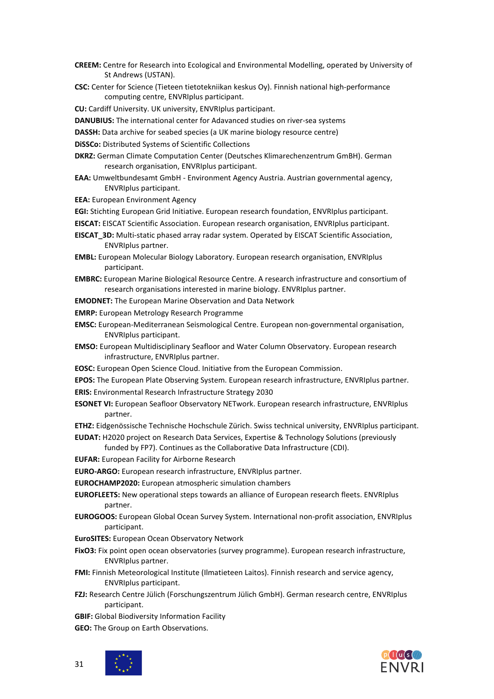- **CREEM:** Centre for Research into Ecological and Environmental Modelling, operated by University of St Andrews (USTAN).
- **CSC:** Center for Science (Tieteen tietotekniikan keskus Oy). Finnish national high-performance computing centre, ENVRIplus participant.

**CU:** Cardiff University. UK university, ENVRIplus participant.

- **DANUBIUS:** The international center for Adavanced studies on river-sea systems
- **DASSH:** Data archive for seabed species (a UK marine biology resource centre)

**DiSSCo:** Distributed Systems of Scientific Collections

- **DKRZ:** German Climate Computation Center (Deutsches Klimarechenzentrum GmBH). German research organisation, ENVRIplus participant.
- **EAA:** Umweltbundesamt GmbH Environment Agency Austria. Austrian governmental agency, ENVRIplus participant.
- **EEA:** European Environment Agency

**EGI:** Stichting European Grid Initiative. European research foundation, ENVRIplus participant.

- **EISCAT:** EISCAT Scientific Association. European research organisation, ENVRIplus participant.
- **EISCAT\_3D:** Multi-static phased array radar system. Operated by EISCAT Scientific Association, ENVRIplus partner.
- **EMBL:** European Molecular Biology Laboratory. European research organisation, ENVRIplus participant.
- **EMBRC:** European Marine Biological Resource Centre. A research infrastructure and consortium of research organisations interested in marine biology. ENVRIplus partner.

**EMODNET:** The European Marine Observation and Data Network

- **EMRP:** European Metrology Research Programme
- **EMSC:** European-Mediterranean Seismological Centre. European non-governmental organisation, ENVRIplus participant.
- **EMSO:** European Multidisciplinary Seafloor and Water Column Observatory. European research infrastructure, ENVRIplus partner.
- **EOSC:** European Open Science Cloud. Initiative from the European Commission.

**EPOS:** The European Plate Observing System. European research infrastructure, ENVRIplus partner. **ERIS:** Environmental Research Infrastructure Strategy 2030

**ESONET VI:** European Seafloor Observatory NETwork. European research infrastructure, ENVRIplus partner.

**ETHZ:** Eidgenössische Technische Hochschule Zürich. Swiss technical university, ENVRIplus participant.

- **EUDAT:** H2020 project on Research Data Services, Expertise & Technology Solutions (previously funded by FP7). Continues as the Collaborative Data Infrastructure (CDI).
- **EUFAR:** European Facility for Airborne Research
- **EURO-ARGO:** European research infrastructure, ENVRIplus partner.

**EUROCHAMP2020:** European atmospheric simulation chambers

- **EUROFLEETS:** New operational steps towards an alliance of European research fleets. ENVRIplus partner.
- **EUROGOOS:** European Global Ocean Survey System. International non-profit association, ENVRIplus participant.
- **EuroSITES:** European Ocean Observatory Network
- **FixO3:** Fix point open ocean observatories (survey programme). European research infrastructure, ENVRIplus partner.
- **FMI:** Finnish Meteorological Institute (Ilmatieteen Laitos). Finnish research and service agency, ENVRIplus participant.
- **FZJ:** Research Centre Jülich (Forschungszentrum Jülich GmbH). German research centre, ENVRIplus participant.
- **GBIF:** Global Biodiversity Information Facility
- **GEO:** The Group on Earth Observations.



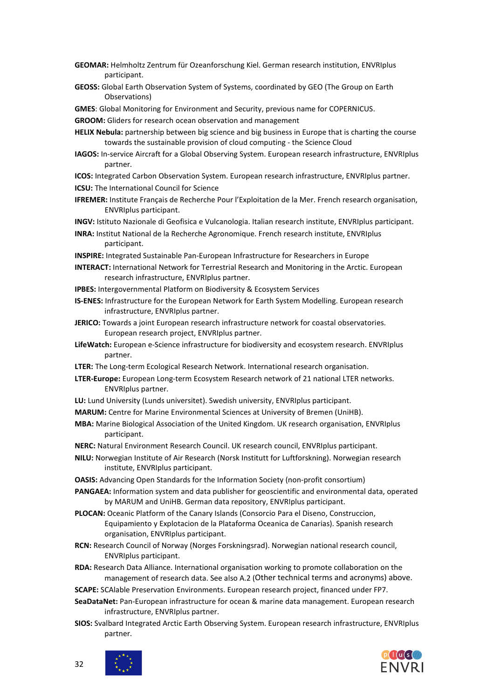- **GEOMAR:** Helmholtz Zentrum für Ozeanforschung Kiel. German research institution, ENVRIplus participant.
- **GEOSS:** Global Earth Observation System of Systems, coordinated by GEO (The Group on Earth Observations)

**GMES**: Global Monitoring for Environment and Security, previous name for COPERNICUS.

**GROOM:** Gliders for research ocean observation and management

- **HELIX Nebula:** partnership between big science and big business in Europe that is charting the course towards the sustainable provision of cloud computing - the Science Cloud
- **IAGOS:** In-service Aircraft for a Global Observing System. European research infrastructure, ENVRIplus partner.
- **ICOS:** Integrated Carbon Observation System. European research infrastructure, ENVRIplus partner.
- **ICSU:** The International Council for Science
- **IFREMER:** Institute Français de Recherche Pour l'Exploitation de la Mer. French research organisation, ENVRIplus participant.

**INGV:** Istituto Nazionale di Geofisica e Vulcanologia. Italian research institute, ENVRIplus participant.

- **INRA:** Institut National de la Recherche Agronomique. French research institute, ENVRIplus participant.
- **INSPIRE:** Integrated Sustainable Pan-European Infrastructure for Researchers in Europe
- **INTERACT:** International Network for Terrestrial Research and Monitoring in the Arctic. European research infrastructure, ENVRIplus partner.
- **IPBES:** Intergovernmental Platform on Biodiversity & Ecosystem Services
- **IS-ENES:** Infrastructure for the European Network for Earth System Modelling. European research infrastructure, ENVRIplus partner.
- **JERICO:** Towards a joint European research infrastructure network for coastal observatories. European research project, ENVRIplus partner.
- **LifeWatch:** European e-Science infrastructure for biodiversity and ecosystem research. ENVRIplus partner.
- **LTER:** The Long-term Ecological Research Network. International research organisation.
- **LTER-Europe:** European Long-term Ecosystem Research network of 21 national LTER networks. ENVRIplus partner.
- **LU:** Lund University (Lunds universitet). Swedish university, ENVRIplus participant.
- **MARUM:** Centre for Marine Environmental Sciences at University of Bremen (UniHB).
- **MBA:** Marine Biological Association of the United Kingdom. UK research organisation, ENVRIplus participant.
- **NERC:** Natural Environment Research Council. UK research council, ENVRIplus participant.
- **NILU:** Norwegian Institute of Air Research (Norsk Institutt for Luftforskning). Norwegian research institute, ENVRIplus participant.
- **OASIS:** Advancing Open Standards for the Information Society (non-profit consortium)
- **PANGAEA:** Information system and data publisher for geoscientific and environmental data, operated by MARUM and UniHB. German data repository, ENVRIplus participant.
- **PLOCAN:** Oceanic Platform of the Canary Islands (Consorcio Para el Diseno, Construccion, Equipamiento y Explotacion de la Plataforma Oceanica de Canarias). Spanish research organisation, ENVRIplus participant.
- **RCN:** Research Council of Norway (Norges Forskningsrad). Norwegian national research council, ENVRIplus participant.
- **RDA:** Research Data Alliance. International organisation working to promote collaboration on the management of research data. See also A.2 (Other technical terms and acronyms) above.
- **SCAPE:** SCAlable Preservation Environments. European research project, financed under FP7.
- **SeaDataNet:** Pan-European infrastructure for ocean & marine data management. European research infrastructure, ENVRIplus partner.
- **SIOS:** Svalbard Integrated Arctic Earth Observing System. European research infrastructure, ENVRIplus partner.



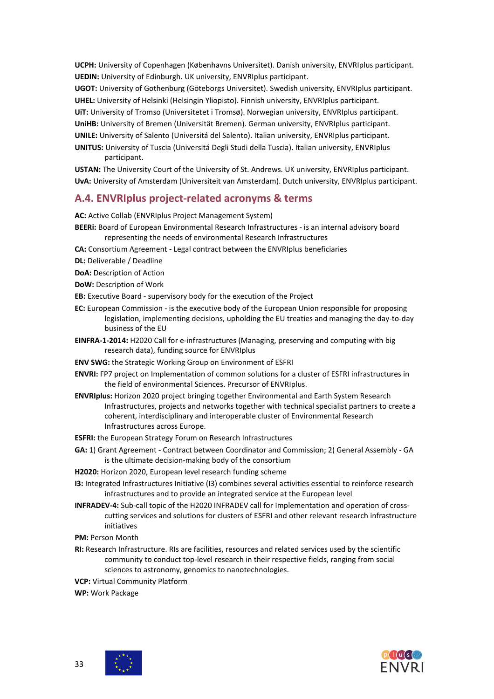**UCPH:** University of Copenhagen (Københavns Universitet). Danish university, ENVRIplus participant. **UEDIN:** University of Edinburgh. UK university, ENVRIplus participant.

**UGOT:** University of Gothenburg (Göteborgs Universitet). Swedish university, ENVRIplus participant. **UHEL:** University of Helsinki (Helsingin Yliopisto). Finnish university, ENVRIplus participant.

**UiT:** University of Tromso (Universitetet i Tromsø). Norwegian university, ENVRIplus participant. **UniHB:** University of Bremen (Universität Bremen). German university, ENVRIplus participant. **UNILE:** University of Salento (Universitá del Salento). Italian university, ENVRIplus participant.

**UNITUS:** University of Tuscia (Universitá Degli Studi della Tuscia). Italian university, ENVRIplus participant.

**USTAN:** The University Court of the University of St. Andrews. UK university, ENVRIplus participant. **UvA:** University of Amsterdam (Universiteit van Amsterdam). Dutch university, ENVRIplus participant.

#### <span id="page-32-0"></span>**A.4. ENVRIplus project-related acronyms & terms**

**AC:** Active Collab (ENVRIplus Project Management System)

- **BEERi:** Board of European Environmental Research Infrastructures is an internal advisory board representing the needs of environmental Research Infrastructures
- **CA:** Consortium Agreement Legal contract between the ENVRIplus beneficiaries

**DL:** Deliverable / Deadline

**DoA:** Description of Action

**DoW:** Description of Work

**EB:** Executive Board - supervisory body for the execution of the Project

- **EC:** European Commission is the executive body of the European Union responsible for proposing legislation, implementing decisions, upholding the EU treaties and managing the day-to-day business of the EU
- **EINFRA-1-2014:** H2020 Call for e-infrastructures (Managing, preserving and computing with big research data), funding source for ENVRIplus
- **ENV SWG:** the Strategic Working Group on Environment of ESFRI
- **ENVRI:** FP7 project on Implementation of common solutions for a cluster of ESFRI infrastructures in the field of environmental Sciences. Precursor of ENVRIplus.
- **ENVRIplus:** Horizon 2020 project bringing together Environmental and Earth System Research Infrastructures, projects and networks together with technical specialist partners to create a coherent, interdisciplinary and interoperable cluster of Environmental Research Infrastructures across Europe.
- **ESFRI:** the European Strategy Forum on Research Infrastructures
- **GA:** 1) Grant Agreement Contract between Coordinator and Commission; 2) General Assembly GA is the ultimate decision-making body of the consortium
- **H2020:** Horizon 2020, European level research funding scheme
- **I3:** Integrated Infrastructures Initiative (I3) combines several activities essential to reinforce research infrastructures and to provide an integrated service at the European level
- **INFRADEV-4:** Sub-call topic of the H2020 INFRADEV call for Implementation and operation of crosscutting services and solutions for clusters of ESFRI and other relevant research infrastructure initiatives
- **PM: Person Month**
- **RI:** Research Infrastructure. RIs are facilities, resources and related services used by the scientific community to conduct top-level research in their respective fields, ranging from social sciences to astronomy, genomics to nanotechnologies.

**VCP:** Virtual Community Platform

**WP:** Work Package



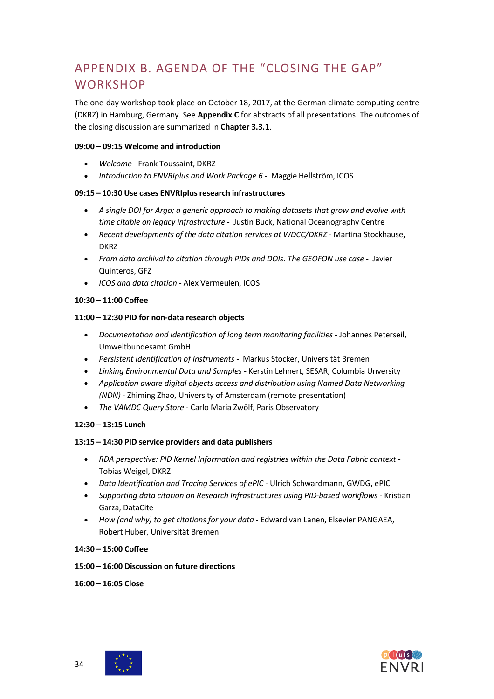# <span id="page-33-0"></span>APPENDIX B. AGENDA OF THE "CLOSING THE GAP" **WORKSHOP**

The one-day workshop took place on October 18, 2017, at the German climate computing centre (DKRZ) in Hamburg, Germany. See **Appendix C** for abstracts of all presentations. The outcomes of the closing discussion are summarized in **Chapter 3.3.1**.

#### **09:00 – 09:15 Welcome and introduction**

- *Welcome* Frank Toussaint, DKRZ
- *Introduction to ENVRIplus and Work Package 6* Maggie Hellström, ICOS

#### **09:15 – 10:30 Use cases ENVRIplusresearch infrastructures**

- *A single DOI for Argo; a generic approach to making datasets that grow and evolve with time citable on legacy infrastructure* - Justin Buck, National Oceanography Centre
- *Recent developments of the data citation services at WDCC/DKRZ* Martina Stockhause, DKRZ
- *From data archival to citation through PIDs and DOIs. The GEOFON use case* Javier Quinteros, GFZ
- *ICOS and data citation* Alex Vermeulen, ICOS

#### **10:30 – 11:00 Coffee**

#### **11:00 – 12:30 PID for non-data research objects**

- *Documentation and identification of long term monitoring facilities* Johannes Peterseil, Umweltbundesamt GmbH
- *Persistent Identification of Instruments* Markus Stocker, Universität Bremen
- *Linking Environmental Data and Samples* Kerstin Lehnert, SESAR, Columbia Unversity
- *Application aware digital objects access and distribution using Named Data Networking (NDN)* - Zhiming Zhao, University of Amsterdam (remote presentation)
- *The VAMDC Query Store* Carlo Maria Zwölf, Paris Observatory

#### **12:30 – 13:15 Lunch**

#### **13:15 – 14:30 PID service providers and data publishers**

- *RDA perspective: PID Kernel Information and registries within the Data Fabric context* Tobias Weigel, DKRZ
- *Data Identification and Tracing Services of ePIC* Ulrich Schwardmann, GWDG, ePIC
- *Supporting data citation on Research Infrastructures using PID-based workflows* Kristian Garza, DataCite
- *How (and why) to get citations for your data* Edward van Lanen, Elsevier PANGAEA, Robert Huber, Universität Bremen

#### **14:30 – 15:00 Coffee**

- **15:00 – 16:00 Discussion on future directions**
- **16:00 – 16:05 Close**



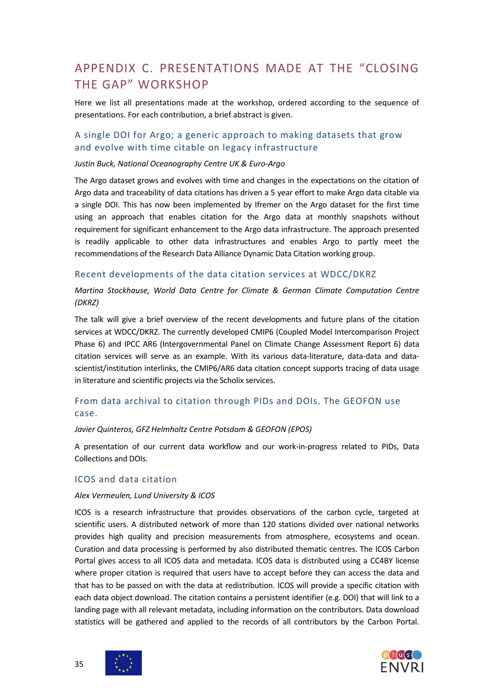## <span id="page-34-0"></span>APPENDIX C. PRESENTATIONS MADE AT THE "CLOSING THE GAP" WORKSHOP

Here we list all presentations made at the workshop, ordered according to the sequence of presentations. For each contribution, a brief abstract is given.

### <span id="page-34-1"></span>A single DOI for Argo; a generic approach to making datasets that grow and evolve with time citable on legacy infrastructure

#### *Justin Buck, National Oceanography Centre UK & Euro-Argo*

The Argo dataset grows and evolves with time and changes in the expectations on the citation of Argo data and traceability of data citations has driven a 5 year effort to make Argo data citable via a single DOI. This has now been implemented by Ifremer on the Argo dataset for the first time using an approach that enables citation for the Argo data at monthly snapshots without requirement for significant enhancement to the Argo data infrastructure. The approach presented is readily applicable to other data infrastructures and enables Argo to partly meet the recommendations of the Research Data Alliance Dynamic Data Citation working group.

#### <span id="page-34-2"></span>Recent developments of the data citation services at WDCC/DKRZ

#### *Martina Stockhause, World Data Centre for Climate & German Climate Computation Centre (DKRZ)*

The talk will give a brief overview of the recent developments and future plans of the citation services at WDCC/DKRZ. The currently developed CMIP6 (Coupled Model Intercomparison Project Phase 6) and IPCC AR6 (Intergovernmental Panel on Climate Change Assessment Report 6) data citation services will serve as an example. With its various data-literature, data-data and datascientist/institution interlinks, the CMIP6/AR6 data citation concept supports tracing of data usage in literature and scientific projects via the Scholix services.

### <span id="page-34-3"></span>From data archival to citation through PIDs and DOIs. The GEOFON use case.

#### *Javier Quinteros, GFZ Helmholtz Centre Potsdam & GEOFON (EPOS)*

A presentation of our current data workflow and our work-in-progress related to PIDs, Data Collections and DOIs.

#### <span id="page-34-4"></span>ICOS and data citation

#### *Alex Vermeulen, Lund University & ICOS*

ICOS is a research infrastructure that provides observations of the carbon cycle, targeted at scientific users. A distributed network of more than 120 stations divided over national networks provides high quality and precision measurements from atmosphere, ecosystems and ocean. Curation and data processing is performed by also distributed thematic centres. The ICOS Carbon Portal gives access to all ICOS data and metadata. ICOS data is distributed using a CC4BY license where proper citation is required that users have to accept before they can access the data and that has to be passed on with the data at redistribution. ICOS will provide a specific citation with each data object download. The citation contains a persistent identifier (e.g. DOI) that will link to a landing page with all relevant metadata, including information on the contributors. Data download statistics will be gathered and applied to the records of all contributors by the Carbon Portal.



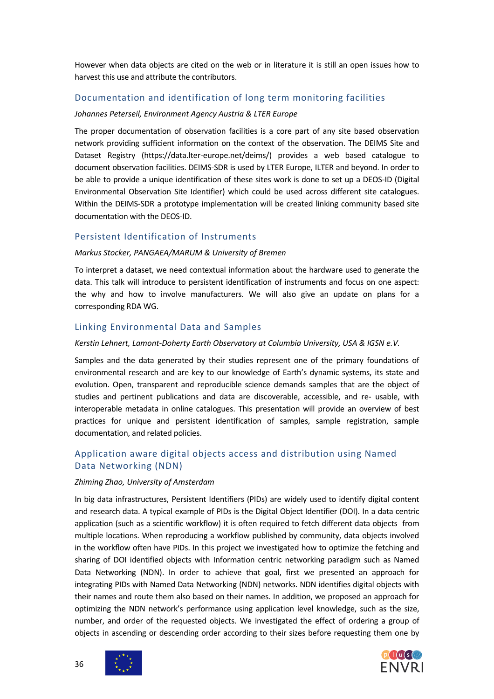However when data objects are cited on the web or in literature it is still an open issues how to harvest this use and attribute the contributors.

#### <span id="page-35-0"></span>Documentation and identification of long term monitoring facilities

#### *Johannes Peterseil, Environment Agency Austria & LTER Europe*

The proper documentation of observation facilities is a core part of any site based observation network providing sufficient information on the context of the observation. The DEIMS Site and Dataset Registry (https://data.lter-europe.net/deims/) provides a web based catalogue to document observation facilities. DEIMS-SDR is used by LTER Europe, ILTER and beyond. In order to be able to provide a unique identification of these sites work is done to set up a DEOS-ID (Digital Environmental Observation Site Identifier) which could be used across different site catalogues. Within the DEIMS-SDR a prototype implementation will be created linking community based site documentation with the DEOS-ID.

#### <span id="page-35-1"></span>Persistent Identification of Instruments

#### *Markus Stocker, PANGAEA/MARUM & University of Bremen*

To interpret a dataset, we need contextual information about the hardware used to generate the data. This talk will introduce to persistent identification of instruments and focus on one aspect: the why and how to involve manufacturers. We will also give an update on plans for a corresponding RDA WG.

#### <span id="page-35-2"></span>Linking Environmental Data and Samples

#### *Kerstin Lehnert, Lamont-Doherty Earth Observatory at Columbia University, USA & IGSN e.V.*

Samples and the data generated by their studies represent one of the primary foundations of environmental research and are key to our knowledge of Earth's dynamic systems, its state and evolution. Open, transparent and reproducible science demands samples that are the object of studies and pertinent publications and data are discoverable, accessible, and re- usable, with interoperable metadata in online catalogues. This presentation will provide an overview of best practices for unique and persistent identification of samples, sample registration, sample documentation, and related policies.

### <span id="page-35-3"></span>Application aware digital objects access and distribution using Named Data Networking (NDN)

#### *Zhiming Zhao, University of Amsterdam*

In big data infrastructures, Persistent Identifiers (PIDs) are widely used to identify digital content and research data. A typical example of PIDs is the Digital Object Identifier (DOI). In a data centric application (such as a scientific workflow) it is often required to fetch different data objects from multiple locations. When reproducing a workflow published by community, data objects involved in the workflow often have PIDs. In this project we investigated how to optimize the fetching and sharing of DOI identified objects with Information centric networking paradigm such as Named Data Networking (NDN). In order to achieve that goal, first we presented an approach for integrating PIDs with Named Data Networking (NDN) networks. NDN identifies digital objects with their names and route them also based on their names. In addition, we proposed an approach for optimizing the NDN network's performance using application level knowledge, such as the size, number, and order of the requested objects. We investigated the effect of ordering a group of objects in ascending or descending order according to their sizes before requesting them one by



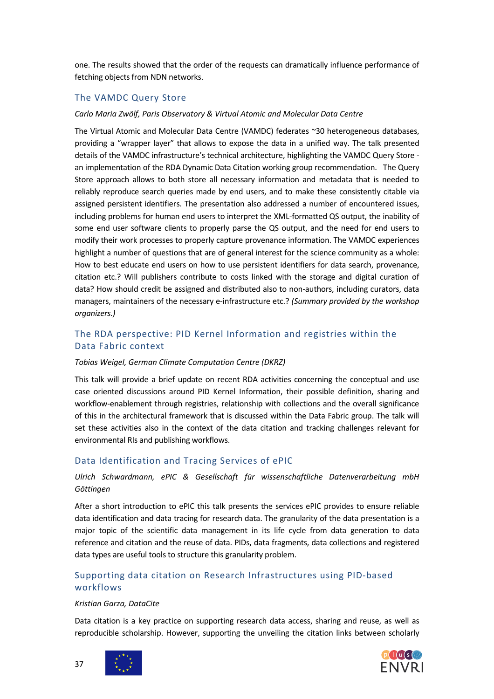one. The results showed that the order of the requests can dramatically influence performance of fetching objects from NDN networks.

### <span id="page-36-0"></span>The VAMDC Query Store

#### *Carlo Maria Zwölf, Paris Observatory & Virtual Atomic and Molecular Data Centre*

The Virtual Atomic and Molecular Data Centre (VAMDC) federates ~30 heterogeneous databases, providing a "wrapper layer" that allows to expose the data in a unified way. The talk presented details of the VAMDC infrastructure's technical architecture, highlighting the VAMDC Query Store an implementation of the RDA Dynamic Data Citation working group recommendation. The Query Store approach allows to both store all necessary information and metadata that is needed to reliably reproduce search queries made by end users, and to make these consistently citable via assigned persistent identifiers. The presentation also addressed a number of encountered issues, including problems for human end users to interpret the XML-formatted QS output, the inability of some end user software clients to properly parse the QS output, and the need for end users to modify their work processes to properly capture provenance information. The VAMDC experiences highlight a number of questions that are of general interest for the science community as a whole: How to best educate end users on how to use persistent identifiers for data search, provenance, citation etc.? Will publishers contribute to costs linked with the storage and digital curation of data? How should credit be assigned and distributed also to non-authors, including curators, data managers, maintainers of the necessary e-infrastructure etc.? *(Summary provided by the workshop organizers.)*

### <span id="page-36-1"></span>The RDA perspective: PID Kernel Information and registries within the Data Fabric context

#### *Tobias Weigel, German Climate Computation Centre (DKRZ)*

This talk will provide a brief update on recent RDA activities concerning the conceptual and use case oriented discussions around PID Kernel Information, their possible definition, sharing and workflow-enablement through registries, relationship with collections and the overall significance of this in the architectural framework that is discussed within the Data Fabric group. The talk will set these activities also in the context of the data citation and tracking challenges relevant for environmental RIs and publishing workflows.

#### <span id="page-36-2"></span>Data Identification and Tracing Services of ePIC

#### *Ulrich Schwardmann, ePIC & Gesellschaft für wissenschaftliche Datenverarbeitung mbH Göttingen*

After a short introduction to ePIC this talk presents the services ePIC provides to ensure reliable data identification and data tracing for research data. The granularity of the data presentation is a major topic of the scientific data management in its life cycle from data generation to data reference and citation and the reuse of data. PIDs, data fragments, data collections and registered data types are useful tools to structure this granularity problem.

### <span id="page-36-3"></span>Supporting data citation on Research Infrastructures using PID-based workflows

#### *Kristian Garza, DataCite*

Data citation is a key practice on supporting research data access, sharing and reuse, as well as reproducible scholarship. However, supporting the unveiling the citation links between scholarly





37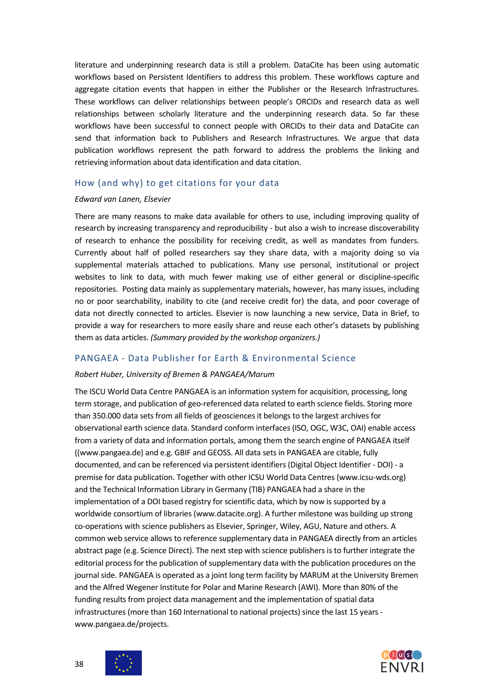literature and underpinning research data is still a problem. DataCite has been using automatic workflows based on Persistent Identifiers to address this problem. These workflows capture and aggregate citation events that happen in either the Publisher or the Research Infrastructures. These workflows can deliver relationships between people's ORCIDs and research data as well relationships between scholarly literature and the underpinning research data. So far these workflows have been successful to connect people with ORCIDs to their data and DataCite can send that information back to Publishers and Research Infrastructures. We argue that data publication workflows represent the path forward to address the problems the linking and retrieving information about data identification and data citation.

#### <span id="page-37-0"></span>How (and why) to get citations for your data

#### *Edward van Lanen, Elsevier*

There are many reasons to make data available for others to use, including improving quality of research by increasing transparency and reproducibility - but also a wish to increase discoverability of research to enhance the possibility for receiving credit, as well as mandates from funders. Currently about half of polled researchers say they share data, with a majority doing so via supplemental materials attached to publications. Many use personal, institutional or project websites to link to data, with much fewer making use of either general or discipline-specific repositories. Posting data mainly as supplementary materials, however, has many issues, including no or poor searchability, inability to cite (and receive credit for) the data, and poor coverage of data not directly connected to articles. Elsevier is now launching a new service, Data in Brief, to provide a way for researchers to more easily share and reuse each other's datasets by publishing them as data articles. *(Summary provided by the workshop organizers.)*

#### <span id="page-37-1"></span>PANGAEA - Data Publisher for Earth & Environmental Science

#### *Robert Huber, University of Bremen & PANGAEA/Marum*

The ISCU World Data Centre PANGAEA is an information system for acquisition, processing, long term storage, and publication of geo-referenced data related to earth science fields. Storing more than 350.000 data sets from all fields of geosciences it belongs to the largest archives for observational earth science data. Standard conform interfaces (ISO, OGC, W3C, OAI) enable access from a variety of data and information portals, among them the search engine of PANGAEA itself ((www.pangaea.de) and e.g. GBIF and GEOSS. All data sets in PANGAEA are citable, fully documented, and can be referenced via persistent identifiers (Digital Object Identifier - DOI) - a premise for data publication. Together with other ICSU World Data Centres (www.icsu-wds.org) and the Technical Information Library in Germany (TIB) PANGAEA had a share in the implementation of a DOI based registry for scientific data, which by now is supported by a worldwide consortium of libraries (www.datacite.org). A further milestone was building up strong co-operations with science publishers as Elsevier, Springer, Wiley, AGU, Nature and others. A common web service allows to reference supplementary data in PANGAEA directly from an articles abstract page (e.g. Science Direct). The next step with science publishers is to further integrate the editorial process for the publication of supplementary data with the publication procedures on the journal side. PANGAEA is operated as a joint long term facility by MARUM at the University Bremen and the Alfred Wegener Institute for Polar and Marine Research (AWI). More than 80% of the funding results from project data management and the implementation of spatial data infrastructures (more than 160 International to national projects) since the last 15 years www.pangaea.de/projects.



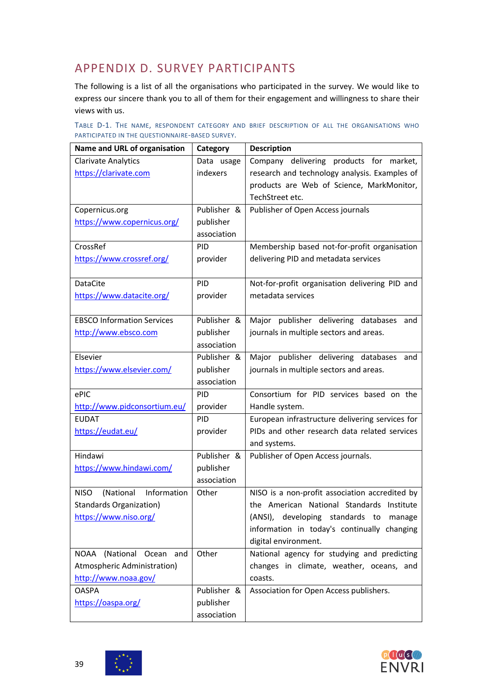# <span id="page-38-0"></span>APPENDIX D. SURVEY PARTICIPANTS

The following is a list of all the organisations who participated in the survey. We would like to express our sincere thank you to all of them for their engagement and willingness to share their views with us.

|  |                                                 |  |  |  | TABLE D-1. THE NAME, RESPONDENT CATEGORY AND BRIEF DESCRIPTION OF ALL THE ORGANISATIONS WHO |  |
|--|-------------------------------------------------|--|--|--|---------------------------------------------------------------------------------------------|--|
|  | PARTICIPATED IN THE QUESTIONNAIRE-BASED SURVEY. |  |  |  |                                                                                             |  |

| Name and URL of organisation          | Category    | <b>Description</b>                              |
|---------------------------------------|-------------|-------------------------------------------------|
| <b>Clarivate Analytics</b>            | Data usage  | Company delivering products for market,         |
| https://clarivate.com                 | indexers    | research and technology analysis. Examples of   |
|                                       |             | products are Web of Science, MarkMonitor,       |
|                                       |             | TechStreet etc.                                 |
| Copernicus.org                        | Publisher & | Publisher of Open Access journals               |
| https://www.copernicus.org/           | publisher   |                                                 |
|                                       | association |                                                 |
| CrossRef                              | PID.        | Membership based not-for-profit organisation    |
| https://www.crossref.org/             | provider    | delivering PID and metadata services            |
|                                       |             |                                                 |
| <b>DataCite</b>                       | PID         | Not-for-profit organisation delivering PID and  |
| https://www.datacite.org/             | provider    | metadata services                               |
|                                       |             |                                                 |
| <b>EBSCO Information Services</b>     | Publisher & | Major publisher delivering databases<br>and     |
| http://www.ebsco.com                  | publisher   | journals in multiple sectors and areas.         |
|                                       | association |                                                 |
| Elsevier                              | Publisher & | Major publisher delivering databases and        |
| https://www.elsevier.com/             | publisher   | journals in multiple sectors and areas.         |
|                                       | association |                                                 |
| ePIC                                  | PID.        | Consortium for PID services based on the        |
| http://www.pidconsortium.eu/          | provider    | Handle system.                                  |
| <b>EUDAT</b>                          | <b>PID</b>  | European infrastructure delivering services for |
| https://eudat.eu/                     | provider    | PIDs and other research data related services   |
|                                       |             | and systems.                                    |
| Hindawi                               | Publisher & | Publisher of Open Access journals.              |
| https://www.hindawi.com/              | publisher   |                                                 |
|                                       | association |                                                 |
| (National Information<br><b>NISO</b>  | Other       | NISO is a non-profit association accredited by  |
| <b>Standards Organization)</b>        |             | the American National Standards Institute       |
| https://www.niso.org/                 |             | (ANSI), developing standards to<br>manage       |
|                                       |             | information in today's continually changing     |
|                                       |             | digital environment.                            |
| (National Ocean<br><b>NOAA</b><br>and | Other       | National agency for studying and predicting     |
| Atmospheric Administration)           |             | changes in climate, weather, oceans, and        |
| http://www.noaa.gov/                  |             | coasts.                                         |
| <b>OASPA</b>                          | Publisher & | Association for Open Access publishers.         |
| https://oaspa.org/                    | publisher   |                                                 |
|                                       | association |                                                 |



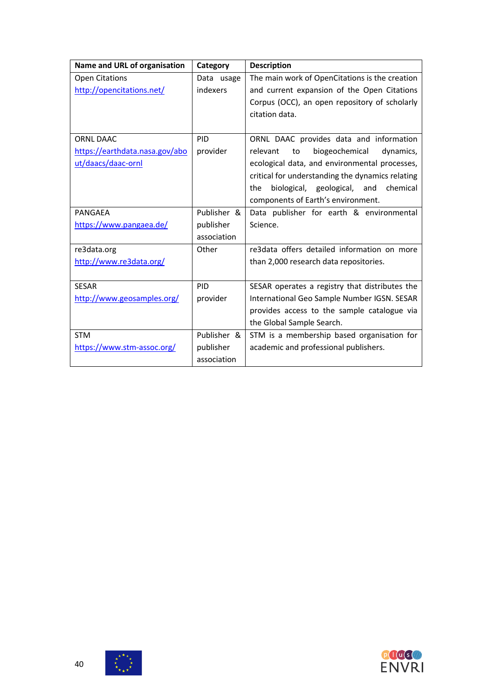| Name and URL of organisation   | Category    | <b>Description</b>                               |
|--------------------------------|-------------|--------------------------------------------------|
| <b>Open Citations</b>          | Data usage  | The main work of OpenCitations is the creation   |
| http://opencitations.net/      | indexers    | and current expansion of the Open Citations      |
|                                |             | Corpus (OCC), an open repository of scholarly    |
|                                |             | citation data.                                   |
|                                |             |                                                  |
| <b>ORNL DAAC</b>               | <b>PID</b>  | ORNL DAAC provides data and information          |
| https://earthdata.nasa.gov/abo | provider    | biogeochemical<br>relevant<br>to<br>dynamics,    |
| ut/daacs/daac-ornl             |             | ecological data, and environmental processes,    |
|                                |             | critical for understanding the dynamics relating |
|                                |             | biological, geological, and<br>chemical<br>the   |
|                                |             | components of Earth's environment.               |
| PANGAEA                        | Publisher & | Data publisher for earth & environmental         |
| https://www.pangaea.de/        | publisher   | Science.                                         |
|                                | association |                                                  |
| re3data.org                    | Other       | re3data offers detailed information on more      |
| http://www.re3data.org/        |             | than 2,000 research data repositories.           |
|                                |             |                                                  |
| <b>SESAR</b>                   | PID         | SESAR operates a registry that distributes the   |
| http://www.geosamples.org/     | provider    | International Geo Sample Number IGSN. SESAR      |
|                                |             | provides access to the sample catalogue via      |
|                                |             | the Global Sample Search.                        |
| <b>STM</b>                     | Publisher & | STM is a membership based organisation for       |
| https://www.stm-assoc.org/     | publisher   | academic and professional publishers.            |
|                                | association |                                                  |

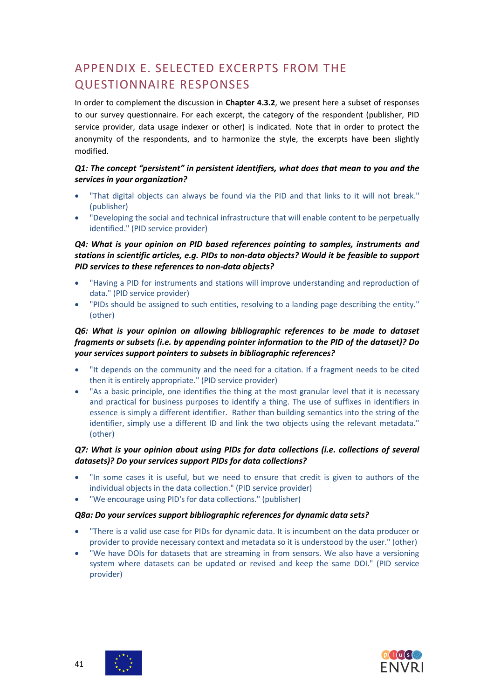# <span id="page-40-0"></span>APPENDIX E. SELECTED EXCERPTS FROM THE QUESTIONNAIRE RESPONSES

In order to complement the discussion in **Chapter 4.3.2**, we present here a subset of responses to our survey questionnaire. For each excerpt, the category of the respondent (publisher, PID service provider, data usage indexer or other) is indicated. Note that in order to protect the anonymity of the respondents, and to harmonize the style, the excerpts have been slightly modified.

#### *Q1: The concept "persistent" in persistent identifiers, what does that mean to you and the services in your organization?*

- "That digital objects can always be found via the PID and that links to it will not break." (publisher)
- "Developing the social and technical infrastructure that will enable content to be perpetually identified." (PID service provider)

#### *Q4: What is your opinion on PID based references pointing to samples, instruments and stations in scientific articles, e.g. PIDs to non-data objects? Would it be feasible to support PID services to these references to non-data objects?*

- "Having a PID for instruments and stations will improve understanding and reproduction of data." (PID service provider)
- "PIDs should be assigned to such entities, resolving to a landing page describing the entity." (other)

#### *Q6: What is your opinion on allowing bibliographic references to be made to dataset fragments or subsets (i.e. by appending pointer information to the PID of the dataset)? Do your services support pointers to subsets in bibliographic references?*

- "It depends on the community and the need for a citation. If a fragment needs to be cited then it is entirely appropriate." (PID service provider)
- "As a basic principle, one identifies the thing at the most granular level that it is necessary and practical for business purposes to identify a thing. The use of suffixes in identifiers in essence is simply a different identifier. Rather than building semantics into the string of the identifier, simply use a different ID and link the two objects using the relevant metadata." (other)

#### *Q7: What is your opinion about using PIDs for data collections (i.e. collections of several datasets)? Do your services support PIDs for data collections?*

- "In some cases it is useful, but we need to ensure that credit is given to authors of the individual objects in the data collection." (PID service provider)
- "We encourage using PID's for data collections." (publisher)

#### *Q8a: Do your services support bibliographic references for dynamic data sets?*

- "There is a valid use case for PIDs for dynamic data. It is incumbent on the data producer or provider to provide necessary context and metadata so it is understood by the user." (other)
- "We have DOIs for datasets that are streaming in from sensors. We also have a versioning system where datasets can be updated or revised and keep the same DOI." (PID service provider)